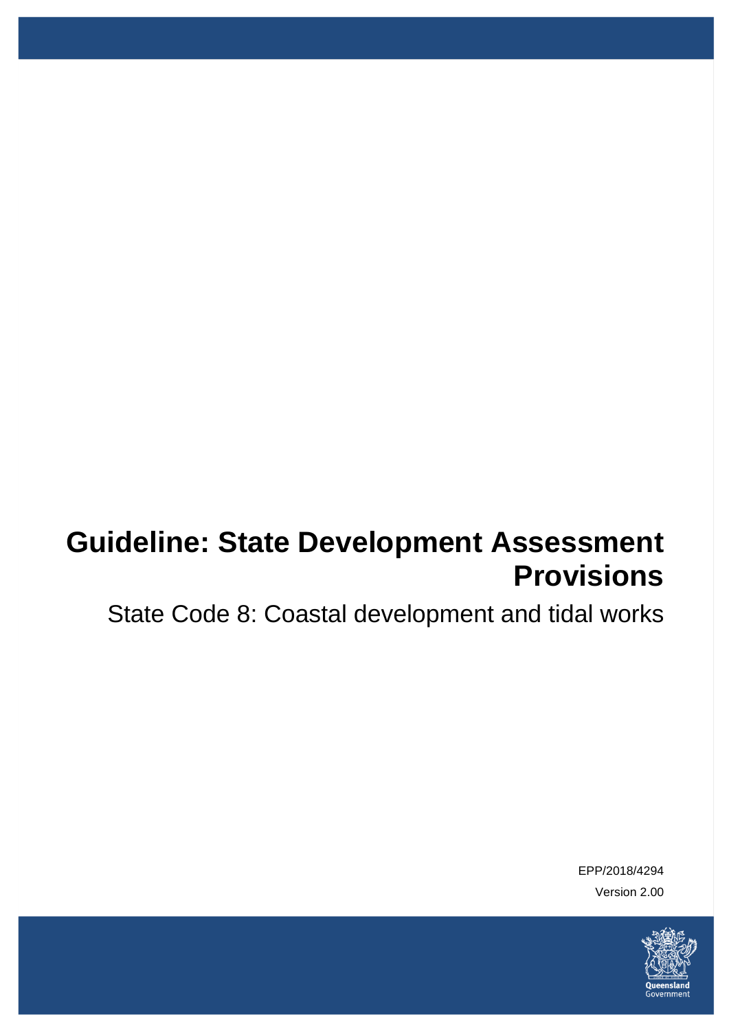# **Guideline: State Development Assessment Provisions**

State Code 8: Coastal development and tidal works

EPP/2018/4294 Version 2.00

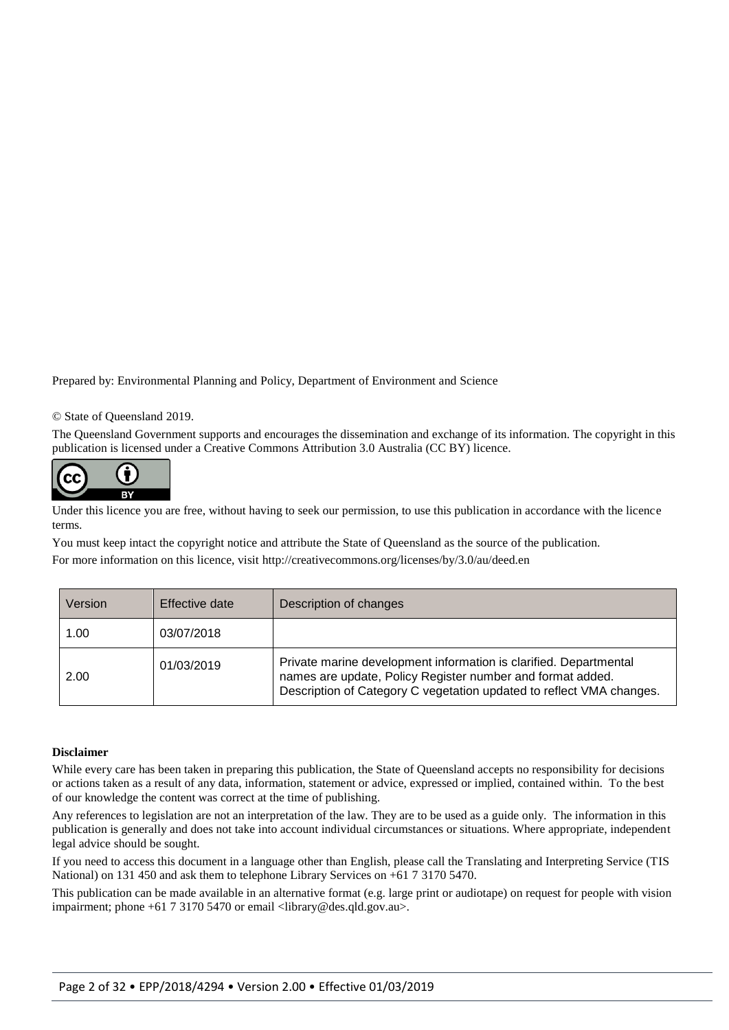Prepared by: Environmental Planning and Policy, Department of Environment and Science

#### © State of Queensland 2019.

The Queensland Government supports and encourages the dissemination and exchange of its information. The copyright in this publication is licensed under a Creative Commons Attribution 3.0 Australia (CC BY) licence.



Under this licence you are free, without having to seek our permission, to use this publication in accordance with the licence terms.

You must keep intact the copyright notice and attribute the State of Queensland as the source of the publication. For more information on this licence, visit<http://creativecommons.org/licenses/by/3.0/au/deed.en>

| Version | Effective date | Description of changes                                                                                                                                                                                  |
|---------|----------------|---------------------------------------------------------------------------------------------------------------------------------------------------------------------------------------------------------|
| 1.00    | 03/07/2018     |                                                                                                                                                                                                         |
| 2.00    | 01/03/2019     | Private marine development information is clarified. Departmental<br>names are update, Policy Register number and format added.<br>Description of Category C vegetation updated to reflect VMA changes. |

#### **Disclaimer**

While every care has been taken in preparing this publication, the State of Queensland accepts no responsibility for decisions or actions taken as a result of any data, information, statement or advice, expressed or implied, contained within. To the best of our knowledge the content was correct at the time of publishing.

Any references to legislation are not an interpretation of the law. They are to be used as a guide only. The information in this publication is generally and does not take into account individual circumstances or situations. Where appropriate, independent legal advice should be sought.

If you need to access this document in a language other than English, please call the Translating and Interpreting Service (TIS National) on 131 450 and ask them to telephone Library Services on +61 7 3170 5470.

This publication can be made available in an alternative format (e.g. large print or audiotape) on request for people with vision impairment; phone +61 7 3170 5470 or email <library@des.qld.gov.au>.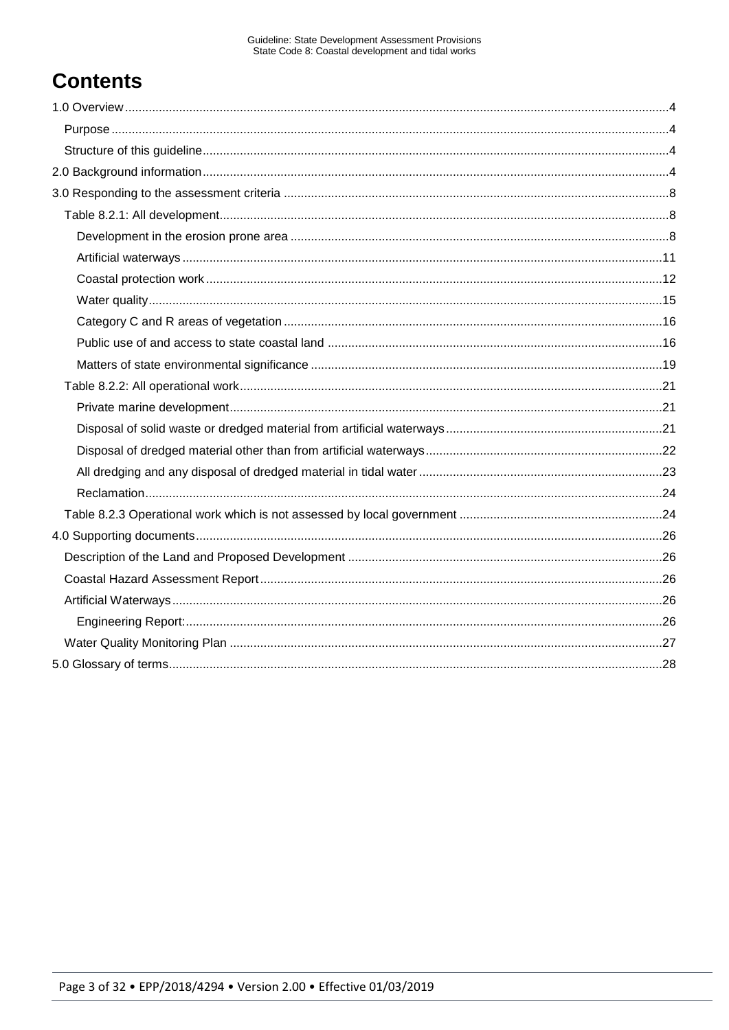# **Contents**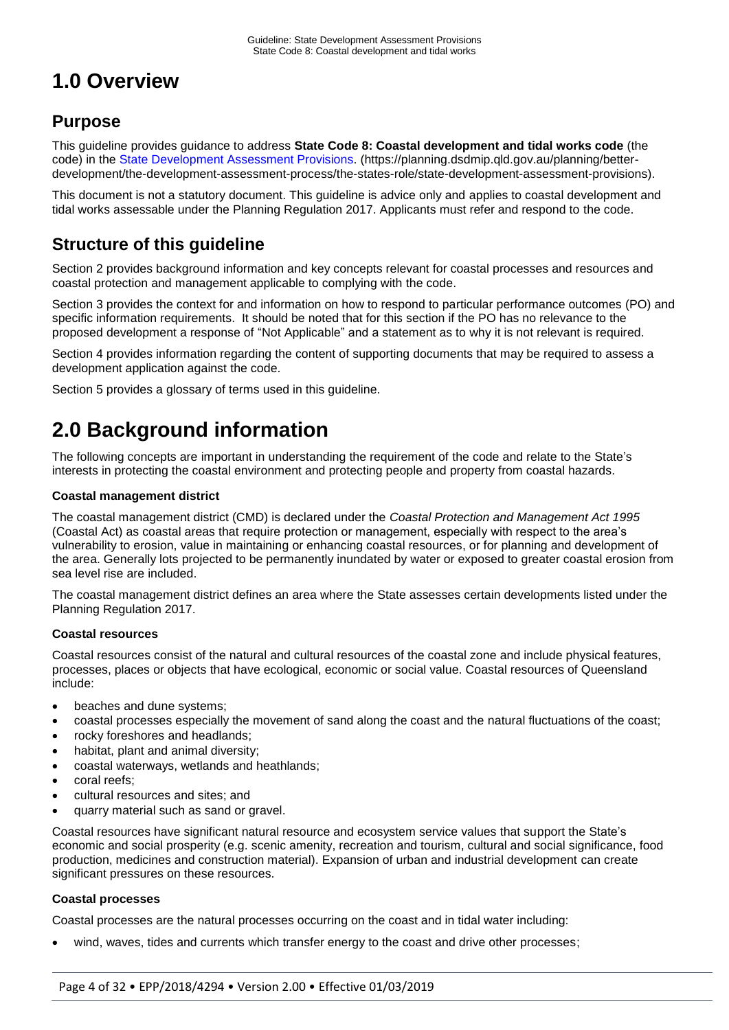# **1.0 Overview**

## **Purpose**

This guideline provides guidance to address **State Code 8: Coastal development and tidal works code** (the code) in the [State Development Assessment Provisions.](https://planning.dsdmip.qld.gov.au/planning/better-development/the-development-assessment-process/the-states-role/state-development-assessment-provisions) (https://planning.dsdmip.qld.gov.au/planning/betterdevelopment/the-development-assessment-process/the-states-role/state-development-assessment-provisions).

This document is not a statutory document. This guideline is advice only and applies to coastal development and tidal works assessable under the Planning Regulation 2017. Applicants must refer and respond to the code.

# **Structure of this guideline**

Section 2 provides background information and key concepts relevant for coastal processes and resources and coastal protection and management applicable to complying with the code.

Section 3 provides the context for and information on how to respond to particular performance outcomes (PO) and specific information requirements. It should be noted that for this section if the PO has no relevance to the proposed development a response of "Not Applicable" and a statement as to why it is not relevant is required.

Section 4 provides information regarding the content of supporting documents that may be required to assess a development application against the code.

Section 5 provides a glossary of terms used in this guideline.

# **2.0 Background information**

The following concepts are important in understanding the requirement of the code and relate to the State's interests in protecting the coastal environment and protecting people and property from coastal hazards.

#### **Coastal management district**

The coastal management district (CMD) is declared under the *Coastal Protection and Management Act 1995* (Coastal Act) as coastal areas that require protection or management, especially with respect to the area's vulnerability to erosion, value in maintaining or enhancing coastal resources, or for planning and development of the area. Generally lots projected to be permanently inundated by water or exposed to greater coastal erosion from sea level rise are included.

The coastal management district defines an area where the State assesses certain developments listed under the Planning Regulation 2017.

### **Coastal resources**

Coastal resources consist of the natural and cultural resources of the coastal zone and include physical features, processes, places or objects that have ecological, economic or social value. Coastal resources of Queensland include:

- beaches and dune systems:
- coastal processes especially the movement of sand along the coast and the natural fluctuations of the coast;
- rocky foreshores and headlands;
- habitat, plant and animal diversity;
- coastal waterways, wetlands and heathlands;
- coral reefs;
- cultural resources and sites; and
- quarry material such as sand or gravel.

Coastal resources have significant natural resource and ecosystem service values that support the State's economic and social prosperity (e.g. scenic amenity, recreation and tourism, cultural and social significance, food production, medicines and construction material). Expansion of urban and industrial development can create significant pressures on these resources.

#### **Coastal processes**

Coastal processes are the natural processes occurring on the coast and in tidal water including:

wind, waves, tides and currents which transfer energy to the coast and drive other processes;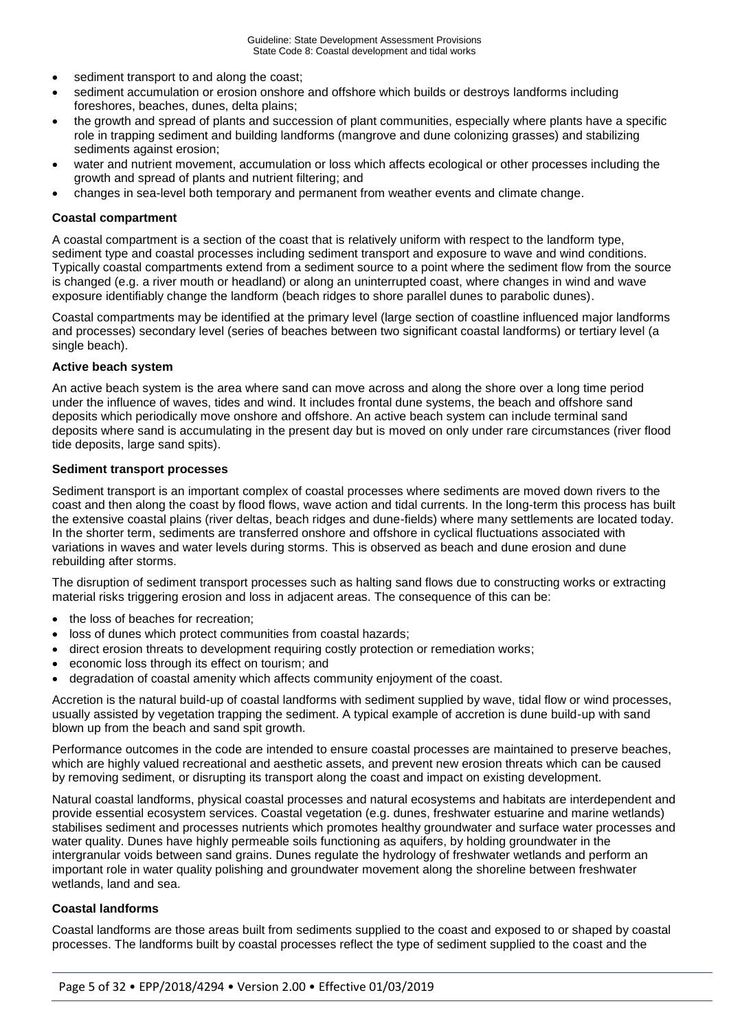- sediment transport to and along the coast;
- sediment accumulation or erosion onshore and offshore which builds or destroys landforms including foreshores, beaches, dunes, delta plains;
- the growth and spread of plants and succession of plant communities, especially where plants have a specific role in trapping sediment and building landforms (mangrove and dune colonizing grasses) and stabilizing sediments against erosion;
- water and nutrient movement, accumulation or loss which affects ecological or other processes including the growth and spread of plants and nutrient filtering; and
- changes in sea-level both temporary and permanent from weather events and climate change.

#### **Coastal compartment**

A coastal compartment is a section of the coast that is relatively uniform with respect to the landform type, sediment type and coastal processes including sediment transport and exposure to wave and wind conditions. Typically coastal compartments extend from a sediment source to a point where the sediment flow from the source is changed (e.g. a river mouth or headland) or along an uninterrupted coast, where changes in wind and wave exposure identifiably change the landform (beach ridges to shore parallel dunes to parabolic dunes).

Coastal compartments may be identified at the primary level (large section of coastline influenced major landforms and processes) secondary level (series of beaches between two significant coastal landforms) or tertiary level (a single beach).

#### **Active beach system**

An active beach system is the area where sand can move across and along the shore over a long time period under the influence of waves, tides and wind. It includes frontal dune systems, the beach and offshore sand deposits which periodically move onshore and offshore. An active beach system can include terminal sand deposits where sand is accumulating in the present day but is moved on only under rare circumstances (river flood tide deposits, large sand spits).

#### **Sediment transport processes**

Sediment transport is an important complex of coastal processes where sediments are moved down rivers to the coast and then along the coast by flood flows, wave action and tidal currents. In the long-term this process has built the extensive coastal plains (river deltas, beach ridges and dune-fields) where many settlements are located today. In the shorter term, sediments are transferred onshore and offshore in cyclical fluctuations associated with variations in waves and water levels during storms. This is observed as beach and dune erosion and dune rebuilding after storms.

The disruption of sediment transport processes such as halting sand flows due to constructing works or extracting material risks triggering erosion and loss in adjacent areas. The consequence of this can be:

- the loss of beaches for recreation;
- loss of dunes which protect communities from coastal hazards;
- direct erosion threats to development requiring costly protection or remediation works;
- economic loss through its effect on tourism; and
- degradation of coastal amenity which affects community enjoyment of the coast.

Accretion is the natural build-up of coastal landforms with sediment supplied by wave, tidal flow or wind processes, usually assisted by vegetation trapping the sediment. A typical example of accretion is dune build-up with sand blown up from the beach and sand spit growth.

Performance outcomes in the code are intended to ensure coastal processes are maintained to preserve beaches, which are highly valued recreational and aesthetic assets, and prevent new erosion threats which can be caused by removing sediment, or disrupting its transport along the coast and impact on existing development.

Natural coastal landforms, physical coastal processes and natural ecosystems and habitats are interdependent and provide essential ecosystem services. Coastal vegetation (e.g. dunes, freshwater estuarine and marine wetlands) stabilises sediment and processes nutrients which promotes healthy groundwater and surface water processes and water quality. Dunes have highly permeable soils functioning as aquifers, by holding groundwater in the intergranular voids between sand grains. Dunes regulate the hydrology of freshwater wetlands and perform an important role in water quality polishing and groundwater movement along the shoreline between freshwater wetlands, land and sea.

#### **Coastal landforms**

Coastal landforms are those areas built from sediments supplied to the coast and exposed to or shaped by coastal processes. The landforms built by coastal processes reflect the type of sediment supplied to the coast and the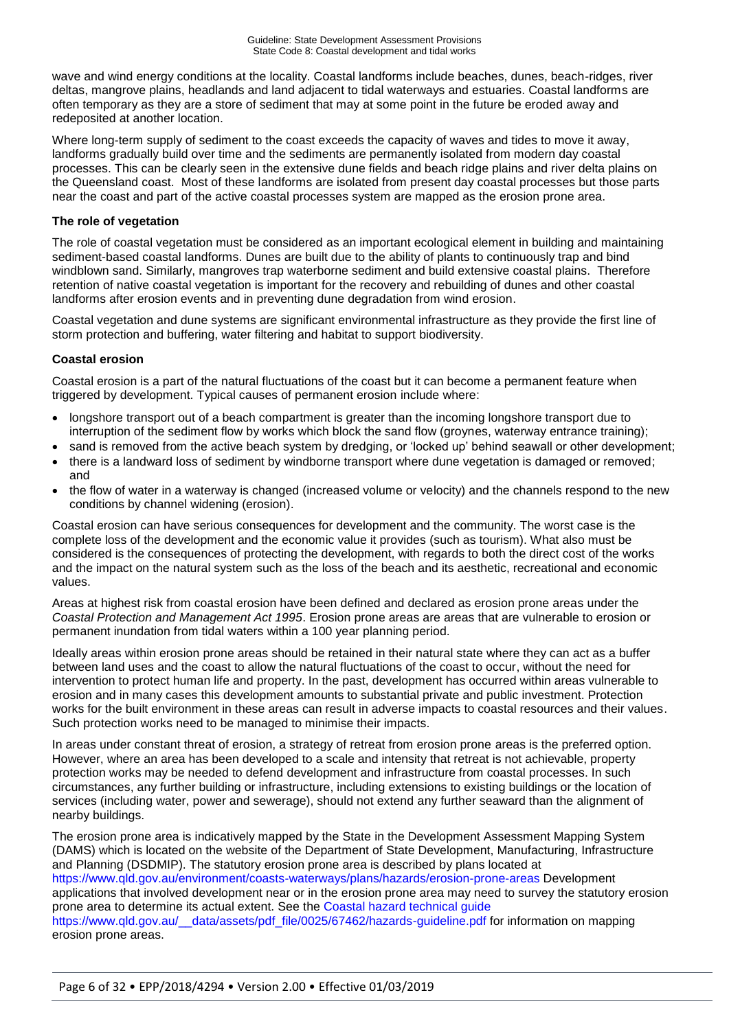wave and wind energy conditions at the locality. Coastal landforms include beaches, dunes, beach-ridges, river deltas, mangrove plains, headlands and land adjacent to tidal waterways and estuaries. Coastal landforms are often temporary as they are a store of sediment that may at some point in the future be eroded away and redeposited at another location.

Where long-term supply of sediment to the coast exceeds the capacity of waves and tides to move it away, landforms gradually build over time and the sediments are permanently isolated from modern day coastal processes. This can be clearly seen in the extensive dune fields and beach ridge plains and river delta plains on the Queensland coast. Most of these landforms are isolated from present day coastal processes but those parts near the coast and part of the active coastal processes system are mapped as the erosion prone area.

#### **The role of vegetation**

The role of coastal vegetation must be considered as an important ecological element in building and maintaining sediment-based coastal landforms. Dunes are built due to the ability of plants to continuously trap and bind windblown sand. Similarly, mangroves trap waterborne sediment and build extensive coastal plains. Therefore retention of native coastal vegetation is important for the recovery and rebuilding of dunes and other coastal landforms after erosion events and in preventing dune degradation from wind erosion.

Coastal vegetation and dune systems are significant environmental infrastructure as they provide the first line of storm protection and buffering, water filtering and habitat to support biodiversity.

#### **Coastal erosion**

Coastal erosion is a part of the natural fluctuations of the coast but it can become a permanent feature when triggered by development. Typical causes of permanent erosion include where:

- longshore transport out of a beach compartment is greater than the incoming longshore transport due to interruption of the sediment flow by works which block the sand flow (groynes, waterway entrance training);
- sand is removed from the active beach system by dredging, or 'locked up' behind seawall or other development;
- there is a landward loss of sediment by windborne transport where dune vegetation is damaged or removed; and
- the flow of water in a waterway is changed (increased volume or velocity) and the channels respond to the new conditions by channel widening (erosion).

Coastal erosion can have serious consequences for development and the community. The worst case is the complete loss of the development and the economic value it provides (such as tourism). What also must be considered is the consequences of protecting the development, with regards to both the direct cost of the works and the impact on the natural system such as the loss of the beach and its aesthetic, recreational and economic values.

Areas at highest risk from coastal erosion have been defined and declared as erosion prone areas under the *Coastal Protection and Management Act 1995*. Erosion prone areas are areas that are vulnerable to erosion or permanent inundation from tidal waters within a 100 year planning period.

Ideally areas within erosion prone areas should be retained in their natural state where they can act as a buffer between land uses and the coast to allow the natural fluctuations of the coast to occur, without the need for intervention to protect human life and property. In the past, development has occurred within areas vulnerable to erosion and in many cases this development amounts to substantial private and public investment. Protection works for the built environment in these areas can result in adverse impacts to coastal resources and their values. Such protection works need to be managed to minimise their impacts.

In areas under constant threat of erosion, a strategy of retreat from erosion prone areas is the preferred option. However, where an area has been developed to a scale and intensity that retreat is not achievable, property protection works may be needed to defend development and infrastructure from coastal processes. In such circumstances, any further building or infrastructure, including extensions to existing buildings or the location of services (including water, power and sewerage), should not extend any further seaward than the alignment of nearby buildings.

The erosion prone area is indicatively mapped by the State in the Development Assessment Mapping System (DAMS) which is located on the website of the Department of State Development, Manufacturing, Infrastructure and Planning (DSDMIP). The statutory erosion prone area is described by plans located at <https://www.qld.gov.au/environment/coasts-waterways/plans/hazards/erosion-prone-areas> Development applications that involved development near or in the erosion prone area may need to survey the statutory erosion prone area to determine its actual extent. See the [Coastal hazard technical guide](https://www.qld.gov.au/__data/assets/pdf_file/0025/67462/hazards-guideline.pdf) [https://www.qld.gov.au/\\_\\_data/assets/pdf\\_file/0025/67462/hazards-guideline.pdf](https://www.qld.gov.au/__data/assets/pdf_file/0025/67462/hazards-guideline.pdf) for information on mapping erosion prone areas.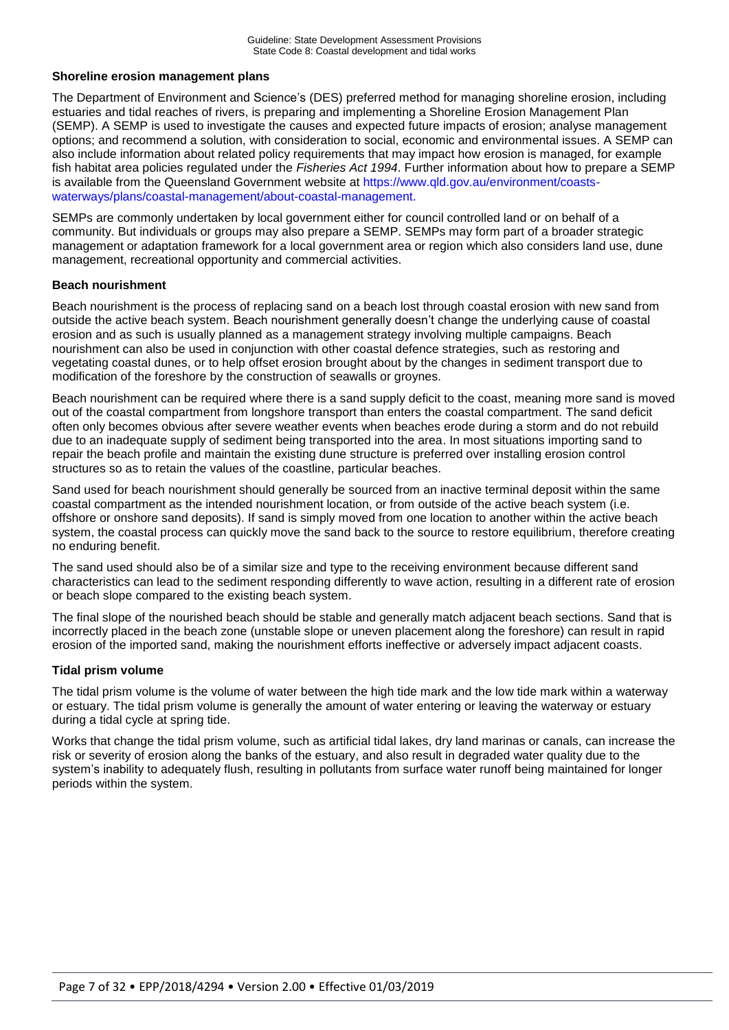#### **Shoreline erosion management plans**

The Department of Environment and Science's (DES) preferred method for managing shoreline erosion, including estuaries and tidal reaches of rivers, is preparing and implementing a Shoreline Erosion Management Plan (SEMP). A SEMP is used to investigate the causes and expected future impacts of erosion; analyse management options; and recommend a solution, with consideration to social, economic and environmental issues. A SEMP can also include information about related policy requirements that may impact how erosion is managed, for example fish habitat area policies regulated under the *Fisheries Act 1994*. Further information about how to prepare a SEMP is available from the Queensland Government website at [https://www.qld.gov.au/environment/coasts](https://www.qld.gov.au/environment/coasts-waterways/plans/coastal-management/about-coastal-management)[waterways/plans/coastal-management/about-coastal-management.](https://www.qld.gov.au/environment/coasts-waterways/plans/coastal-management/about-coastal-management)

SEMPs are commonly undertaken by local government either for council controlled land or on behalf of a community. But individuals or groups may also prepare a SEMP. SEMPs may form part of a broader strategic management or adaptation framework for a local government area or region which also considers land use, dune management, recreational opportunity and commercial activities.

#### **Beach nourishment**

Beach nourishment is the process of replacing sand on a beach lost through coastal erosion with new sand from outside the active beach system. Beach nourishment generally doesn't change the underlying cause of coastal erosion and as such is usually planned as a management strategy involving multiple campaigns. Beach nourishment can also be used in conjunction with other coastal defence strategies, such as restoring and vegetating coastal dunes, or to help offset erosion brought about by the changes in sediment transport due to modification of the foreshore by the construction of seawalls or groynes.

Beach nourishment can be required where there is a sand supply deficit to the coast, meaning more sand is moved out of the coastal compartment from longshore transport than enters the coastal compartment. The sand deficit often only becomes obvious after severe weather events when beaches erode during a storm and do not rebuild due to an inadequate supply of sediment being transported into the area. In most situations importing sand to repair the beach profile and maintain the existing dune structure is preferred over installing erosion control structures so as to retain the values of the coastline, particular beaches.

Sand used for beach nourishment should generally be sourced from an inactive terminal deposit within the same coastal compartment as the intended nourishment location, or from outside of the active beach system (i.e. offshore or onshore sand deposits). If sand is simply moved from one location to another within the active beach system, the coastal process can quickly move the sand back to the source to restore equilibrium, therefore creating no enduring benefit.

The sand used should also be of a similar size and type to the receiving environment because different sand characteristics can lead to the sediment responding differently to wave action, resulting in a different rate of erosion or beach slope compared to the existing beach system.

The final slope of the nourished beach should be stable and generally match adjacent beach sections. Sand that is incorrectly placed in the beach zone (unstable slope or uneven placement along the foreshore) can result in rapid erosion of the imported sand, making the nourishment efforts ineffective or adversely impact adjacent coasts.

#### **Tidal prism volume**

The tidal prism volume is the volume of water between the high tide mark and the low tide mark within a waterway or estuary. The tidal prism volume is generally the amount of water entering or leaving the waterway or estuary during a tidal cycle at spring tide.

Works that change the tidal prism volume, such as artificial tidal lakes, dry land marinas or canals, can increase the risk or severity of erosion along the banks of the estuary, and also result in degraded water quality due to the system's inability to adequately flush, resulting in pollutants from surface water runoff being maintained for longer periods within the system.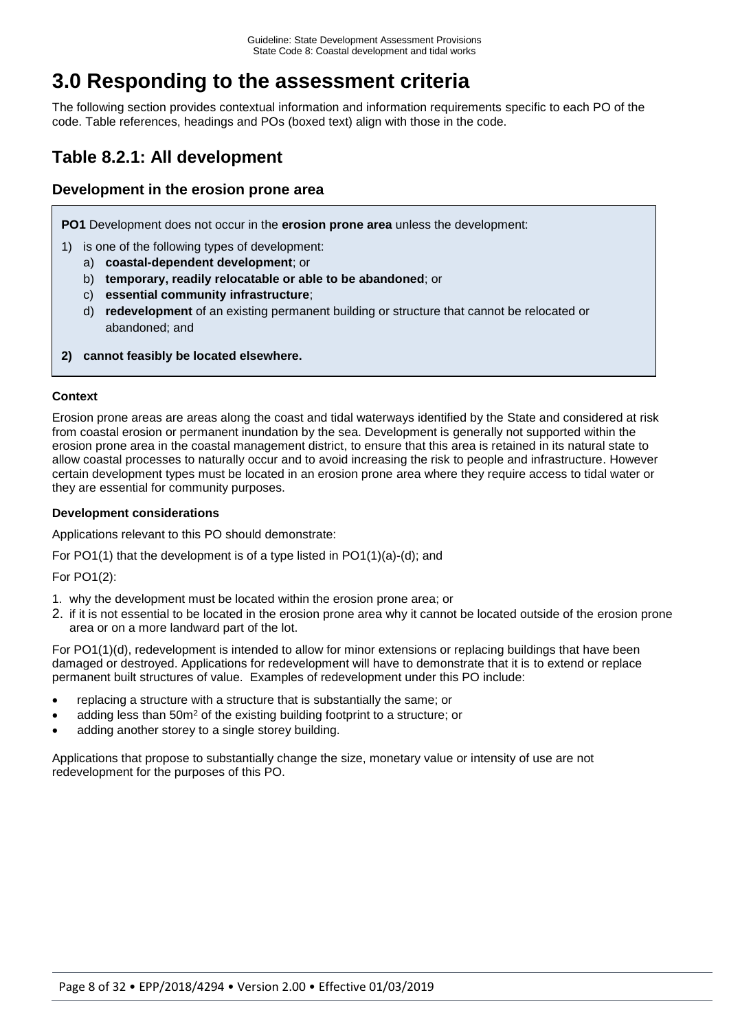# **3.0 Responding to the assessment criteria**

The following section provides contextual information and information requirements specific to each PO of the code. Table references, headings and POs (boxed text) align with those in the code.

## **Table 8.2.1: All development**

## **Development in the erosion prone area**

**PO1** Development does not occur in the **erosion prone area** unless the development:

- 1) is one of the following types of development:
	- a) **coastal-dependent development**; or
	- b) **temporary, readily relocatable or able to be abandoned**; or
	- c) **essential community infrastructure**;
	- d) **redevelopment** of an existing permanent building or structure that cannot be relocated or abandoned; and
- **2) cannot feasibly be located elsewhere.**

#### **Context**

Erosion prone areas are areas along the coast and tidal waterways identified by the State and considered at risk from coastal erosion or permanent inundation by the sea. Development is generally not supported within the erosion prone area in the coastal management district, to ensure that this area is retained in its natural state to allow coastal processes to naturally occur and to avoid increasing the risk to people and infrastructure. However certain development types must be located in an erosion prone area where they require access to tidal water or they are essential for community purposes.

#### **Development considerations**

Applications relevant to this PO should demonstrate:

For PO1(1) that the development is of a type listed in PO1(1)(a)-(d); and

For PO1(2):

- 1. why the development must be located within the erosion prone area; or
- 2. if it is not essential to be located in the erosion prone area why it cannot be located outside of the erosion prone area or on a more landward part of the lot.

For PO1(1)(d), redevelopment is intended to allow for minor extensions or replacing buildings that have been damaged or destroyed. Applications for redevelopment will have to demonstrate that it is to extend or replace permanent built structures of value. Examples of redevelopment under this PO include:

- replacing a structure with a structure that is substantially the same; or
- adding less than 50m<sup>2</sup> of the existing building footprint to a structure; or
- adding another storey to a single storey building.

Applications that propose to substantially change the size, monetary value or intensity of use are not redevelopment for the purposes of this PO.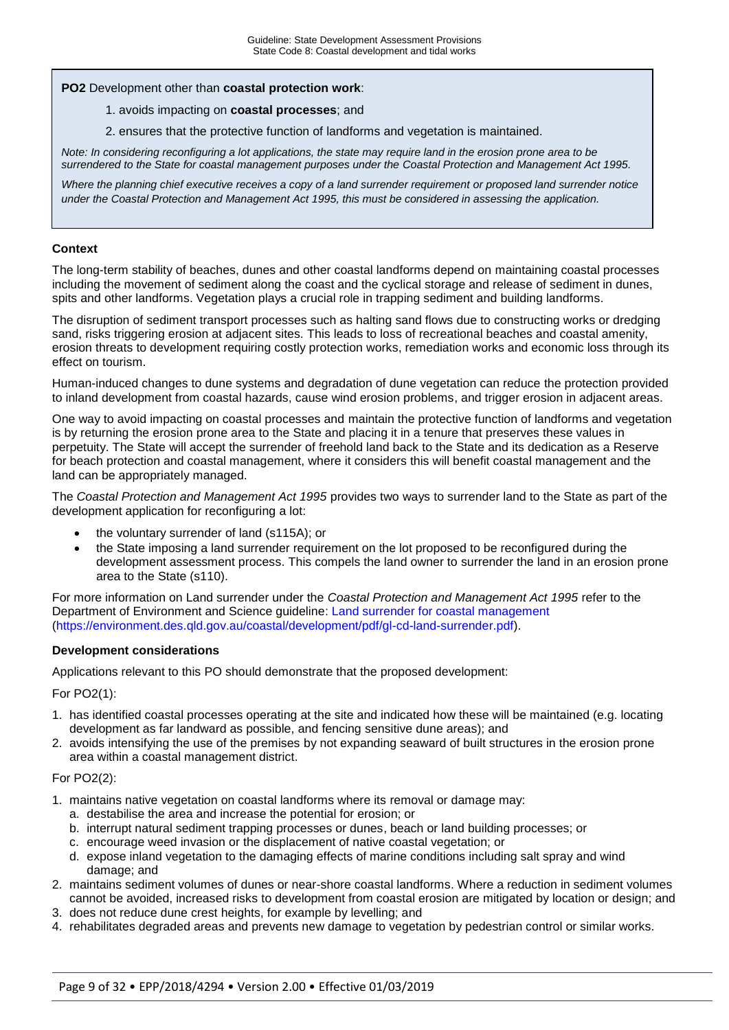#### **PO2** Development other than **coastal protection work**:

#### 1. avoids impacting on **coastal processes**; and

2. ensures that the protective function of landforms and vegetation is maintained.

*Note: In considering reconfiguring a lot applications, the state may require land in the erosion prone area to be surrendered to the State for coastal management purposes under the Coastal Protection and Management Act 1995.*

*Where the planning chief executive receives a copy of a land surrender requirement or proposed land surrender notice under the Coastal Protection and Management Act 1995, this must be considered in assessing the application.*

#### **Context**

The long-term stability of beaches, dunes and other coastal landforms depend on maintaining coastal processes including the movement of sediment along the coast and the cyclical storage and release of sediment in dunes, spits and other landforms. Vegetation plays a crucial role in trapping sediment and building landforms.

The disruption of sediment transport processes such as halting sand flows due to constructing works or dredging sand, risks triggering erosion at adjacent sites. This leads to loss of recreational beaches and coastal amenity, erosion threats to development requiring costly protection works, remediation works and economic loss through its effect on tourism.

Human-induced changes to dune systems and degradation of dune vegetation can reduce the protection provided to inland development from coastal hazards, cause wind erosion problems, and trigger erosion in adjacent areas.

One way to avoid impacting on coastal processes and maintain the protective function of landforms and vegetation is by returning the erosion prone area to the State and placing it in a tenure that preserves these values in perpetuity. The State will accept the surrender of freehold land back to the State and its dedication as a Reserve for beach protection and coastal management, where it considers this will benefit coastal management and the land can be appropriately managed.

The *Coastal Protection and Management Act 1995* provides two ways to surrender land to the State as part of the development application for reconfiguring a lot:

- the voluntary surrender of land (s115A); or
- the State imposing a land surrender requirement on the lot proposed to be reconfigured during the development assessment process. This compels the land owner to surrender the land in an erosion prone area to the State (s110).

For more information on Land surrender under the *Coastal Protection and Management Act 1995* refer to the Department of Environment and Science guideline: [Land surrender for coastal management](https://environment.des.qld.gov.au/coastal/development/pdf/gl-cd-land-surrender.pdf) (https://environment.des.qld.gov.au/coastal/development/pdf/gl-cd-land-surrender.pdf).

#### **Development considerations**

Applications relevant to this PO should demonstrate that the proposed development:

For PO2(1):

- 1. has identified coastal processes operating at the site and indicated how these will be maintained (e.g. locating development as far landward as possible, and fencing sensitive dune areas); and
- 2. avoids intensifying the use of the premises by not expanding seaward of built structures in the erosion prone area within a coastal management district.

#### For PO2(2):

- 1. maintains native vegetation on coastal landforms where its removal or damage may:
	- a. destabilise the area and increase the potential for erosion; or
	- b. interrupt natural sediment trapping processes or dunes, beach or land building processes; or
	- c. encourage weed invasion or the displacement of native coastal vegetation; or
	- d. expose inland vegetation to the damaging effects of marine conditions including salt spray and wind damage; and
- 2. maintains sediment volumes of dunes or near-shore coastal landforms. Where a reduction in sediment volumes cannot be avoided, increased risks to development from coastal erosion are mitigated by location or design; and
- 3. does not reduce dune crest heights, for example by levelling; and
- 4. rehabilitates degraded areas and prevents new damage to vegetation by pedestrian control or similar works.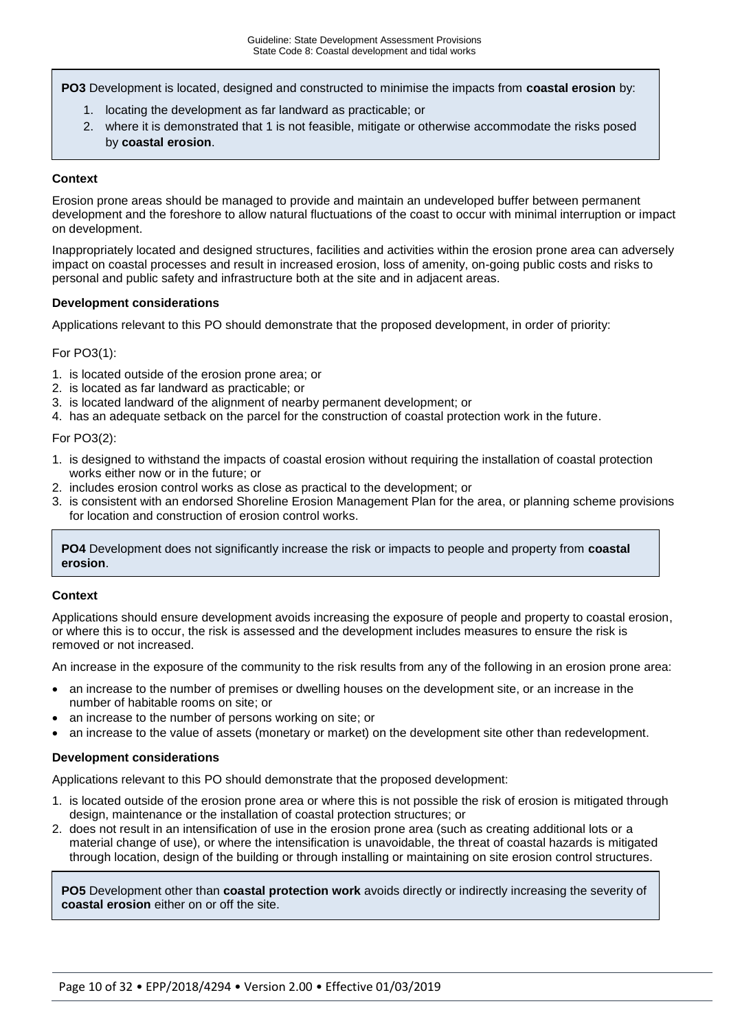**PO3** Development is located, designed and constructed to minimise the impacts from **coastal erosion** by:

- 1. locating the development as far landward as practicable; or
- 2. where it is demonstrated that 1 is not feasible, mitigate or otherwise accommodate the risks posed by **coastal erosion**.

#### **Context**

Erosion prone areas should be managed to provide and maintain an undeveloped buffer between permanent development and the foreshore to allow natural fluctuations of the coast to occur with minimal interruption or impact on development.

Inappropriately located and designed structures, facilities and activities within the erosion prone area can adversely impact on coastal processes and result in increased erosion, loss of amenity, on-going public costs and risks to personal and public safety and infrastructure both at the site and in adjacent areas.

#### **Development considerations**

Applications relevant to this PO should demonstrate that the proposed development, in order of priority:

#### For PO3(1):

- 1. is located outside of the erosion prone area; or
- 2. is located as far landward as practicable; or
- 3. is located landward of the alignment of nearby permanent development; or
- 4. has an adequate setback on the parcel for the construction of coastal protection work in the future.

For PO3(2):

- 1. is designed to withstand the impacts of coastal erosion without requiring the installation of coastal protection works either now or in the future; or
- 2. includes erosion control works as close as practical to the development; or
- 3. is consistent with an endorsed Shoreline Erosion Management Plan for the area, or planning scheme provisions for location and construction of erosion control works.

**PO4** Development does not significantly increase the risk or impacts to people and property from **coastal erosion**.

#### **Context**

Applications should ensure development avoids increasing the exposure of people and property to coastal erosion, or where this is to occur, the risk is assessed and the development includes measures to ensure the risk is removed or not increased.

An increase in the exposure of the community to the risk results from any of the following in an erosion prone area:

- an increase to the number of premises or dwelling houses on the development site, or an increase in the number of habitable rooms on site; or
- an increase to the number of persons working on site; or
- an increase to the value of assets (monetary or market) on the development site other than redevelopment.

#### **Development considerations**

Applications relevant to this PO should demonstrate that the proposed development:

- 1. is located outside of the erosion prone area or where this is not possible the risk of erosion is mitigated through design, maintenance or the installation of coastal protection structures; or
- 2. does not result in an intensification of use in the erosion prone area (such as creating additional lots or a material change of use), or where the intensification is unavoidable, the threat of coastal hazards is mitigated through location, design of the building or through installing or maintaining on site erosion control structures.

**PO5** Development other than **coastal protection work** avoids directly or indirectly increasing the severity of **coastal erosion** either on or off the site.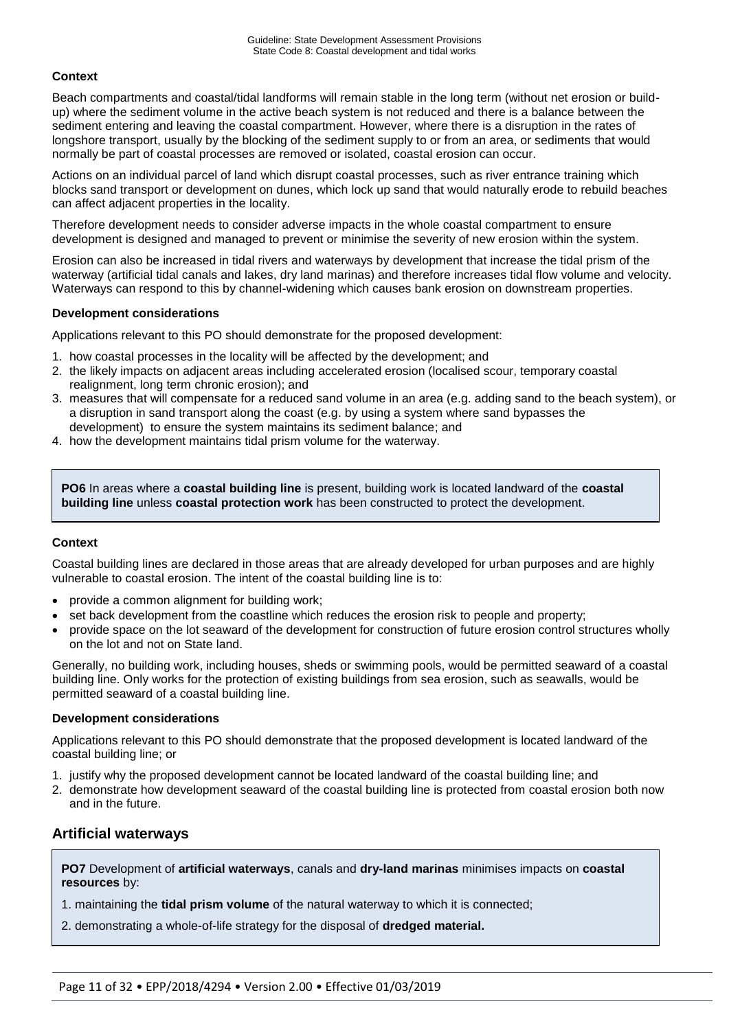#### **Context**

Beach compartments and coastal/tidal landforms will remain stable in the long term (without net erosion or buildup) where the sediment volume in the active beach system is not reduced and there is a balance between the sediment entering and leaving the coastal compartment. However, where there is a disruption in the rates of longshore transport, usually by the blocking of the sediment supply to or from an area, or sediments that would normally be part of coastal processes are removed or isolated, coastal erosion can occur.

Actions on an individual parcel of land which disrupt coastal processes, such as river entrance training which blocks sand transport or development on dunes, which lock up sand that would naturally erode to rebuild beaches can affect adjacent properties in the locality.

Therefore development needs to consider adverse impacts in the whole coastal compartment to ensure development is designed and managed to prevent or minimise the severity of new erosion within the system.

Erosion can also be increased in tidal rivers and waterways by development that increase the tidal prism of the waterway (artificial tidal canals and lakes, dry land marinas) and therefore increases tidal flow volume and velocity. Waterways can respond to this by channel-widening which causes bank erosion on downstream properties.

#### **Development considerations**

Applications relevant to this PO should demonstrate for the proposed development:

- 1. how coastal processes in the locality will be affected by the development; and
- 2. the likely impacts on adjacent areas including accelerated erosion (localised scour, temporary coastal realignment, long term chronic erosion); and
- 3. measures that will compensate for a reduced sand volume in an area (e.g. adding sand to the beach system), or a disruption in sand transport along the coast (e.g. by using a system where sand bypasses the development) to ensure the system maintains its sediment balance; and
- 4. how the development maintains tidal prism volume for the waterway.

**PO6** In areas where a **coastal building line** is present, building work is located landward of the **coastal building line** unless **coastal protection work** has been constructed to protect the development.

#### **Context**

Coastal building lines are declared in those areas that are already developed for urban purposes and are highly vulnerable to coastal erosion. The intent of the coastal building line is to:

- provide a common alignment for building work;
- set back development from the coastline which reduces the erosion risk to people and property;
- provide space on the lot seaward of the development for construction of future erosion control structures wholly on the lot and not on State land.

Generally, no building work, including houses, sheds or swimming pools, would be permitted seaward of a coastal building line. Only works for the protection of existing buildings from sea erosion, such as seawalls, would be permitted seaward of a coastal building line.

#### **Development considerations**

Applications relevant to this PO should demonstrate that the proposed development is located landward of the coastal building line; or

- 1. justify why the proposed development cannot be located landward of the coastal building line; and
- 2. demonstrate how development seaward of the coastal building line is protected from coastal erosion both now and in the future.

### **Artificial waterways**

**PO7** Development of **artificial waterways**, canals and **dry-land marinas** minimises impacts on **coastal resources** by:

- 1. maintaining the **tidal prism volume** of the natural waterway to which it is connected;
- 2. demonstrating a whole-of-life strategy for the disposal of **dredged material.**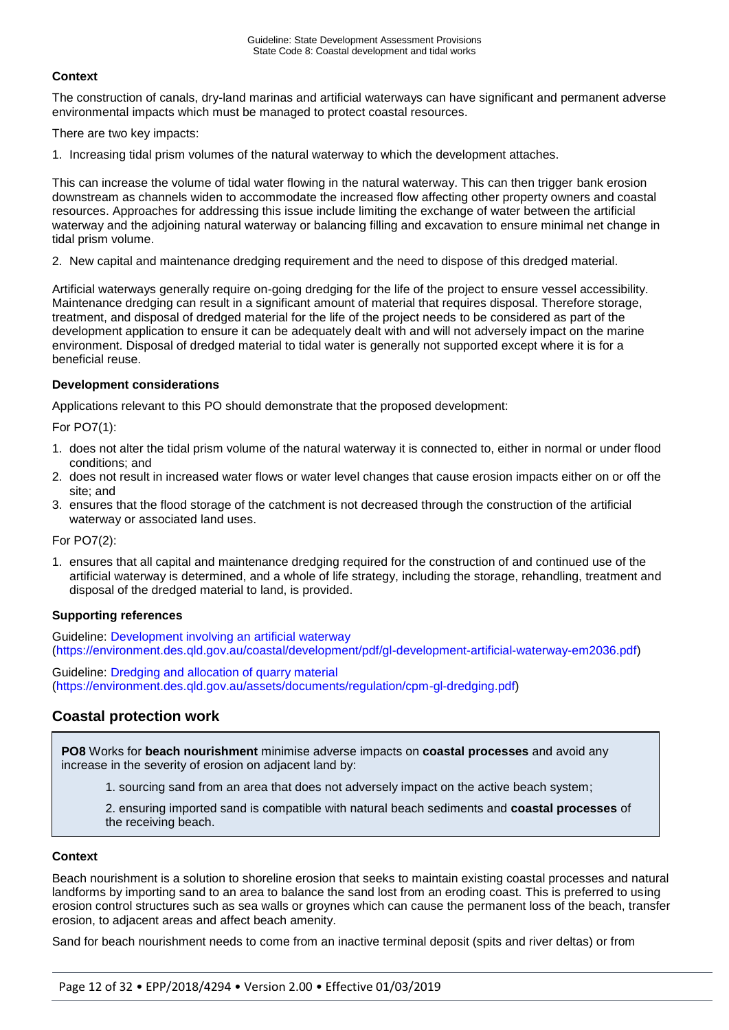#### **Context**

The construction of canals, dry-land marinas and artificial waterways can have significant and permanent adverse environmental impacts which must be managed to protect coastal resources.

There are two key impacts:

1. Increasing tidal prism volumes of the natural waterway to which the development attaches.

This can increase the volume of tidal water flowing in the natural waterway. This can then trigger bank erosion downstream as channels widen to accommodate the increased flow affecting other property owners and coastal resources. Approaches for addressing this issue include limiting the exchange of water between the artificial waterway and the adjoining natural waterway or balancing filling and excavation to ensure minimal net change in tidal prism volume.

2. New capital and maintenance dredging requirement and the need to dispose of this dredged material.

Artificial waterways generally require on-going dredging for the life of the project to ensure vessel accessibility. Maintenance dredging can result in a significant amount of material that requires disposal. Therefore storage, treatment, and disposal of dredged material for the life of the project needs to be considered as part of the development application to ensure it can be adequately dealt with and will not adversely impact on the marine environment. Disposal of dredged material to tidal water is generally not supported except where it is for a beneficial reuse.

#### **Development considerations**

Applications relevant to this PO should demonstrate that the proposed development:

For PO7(1):

- 1. does not alter the tidal prism volume of the natural waterway it is connected to, either in normal or under flood conditions; and
- 2. does not result in increased water flows or water level changes that cause erosion impacts either on or off the site; and
- 3. ensures that the flood storage of the catchment is not decreased through the construction of the artificial waterway or associated land uses.

For PO7(2):

1. ensures that all capital and maintenance dredging required for the construction of and continued use of the artificial waterway is determined, and a whole of life strategy, including the storage, rehandling, treatment and disposal of the dredged material to land, is provided.

#### **Supporting references**

Guideline: [Development involving an artificial waterway](https://environment.des.qld.gov.au/coastal/development/pdf/gl-development-artificial-waterway-em2036.pdf) (https://environment.des.qld.gov.au/coastal/development/pdf/gl-development-artificial-waterway-em2036.pdf)

Guideline: [Dredging and allocation of quarry material](https://environment.des.qld.gov.au/assets/documents/regulation/cpm-gl-dredging.pdf) (https://environment.des.qld.gov.au/assets/documents/regulation/cpm-gl-dredging.pdf)

### **Coastal protection work**

**PO8** Works for **beach nourishment** minimise adverse impacts on **coastal processes** and avoid any increase in the severity of erosion on adjacent land by:

1. sourcing sand from an area that does not adversely impact on the active beach system;

2. ensuring imported sand is compatible with natural beach sediments and **coastal processes** of the receiving beach.

#### **Context**

Beach nourishment is a solution to shoreline erosion that seeks to maintain existing coastal processes and natural landforms by importing sand to an area to balance the sand lost from an eroding coast. This is preferred to using erosion control structures such as sea walls or groynes which can cause the permanent loss of the beach, transfer erosion, to adjacent areas and affect beach amenity.

Sand for beach nourishment needs to come from an inactive terminal deposit (spits and river deltas) or from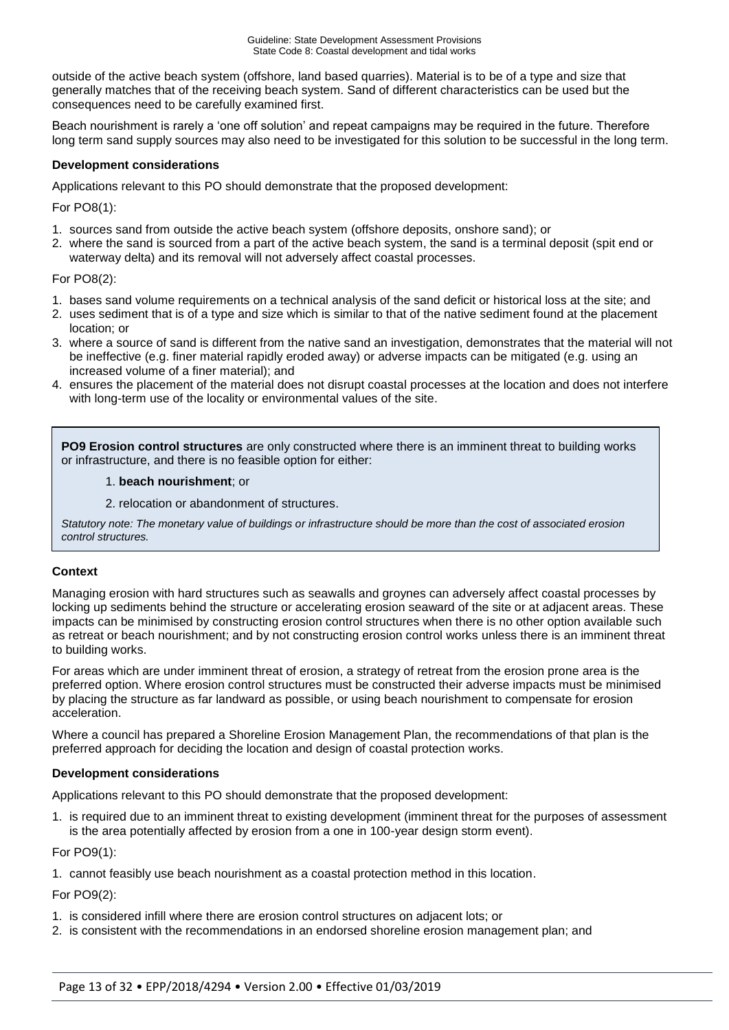outside of the active beach system (offshore, land based quarries). Material is to be of a type and size that generally matches that of the receiving beach system. Sand of different characteristics can be used but the consequences need to be carefully examined first.

Beach nourishment is rarely a 'one off solution' and repeat campaigns may be required in the future. Therefore long term sand supply sources may also need to be investigated for this solution to be successful in the long term.

#### **Development considerations**

Applications relevant to this PO should demonstrate that the proposed development:

For PO8(1):

- 1. sources sand from outside the active beach system (offshore deposits, onshore sand); or
- 2. where the sand is sourced from a part of the active beach system, the sand is a terminal deposit (spit end or waterway delta) and its removal will not adversely affect coastal processes.

#### For PO8(2):

- 1. bases sand volume requirements on a technical analysis of the sand deficit or historical loss at the site; and
- 2. uses sediment that is of a type and size which is similar to that of the native sediment found at the placement location; or
- 3. where a source of sand is different from the native sand an investigation, demonstrates that the material will not be ineffective (e.g. finer material rapidly eroded away) or adverse impacts can be mitigated (e.g. using an increased volume of a finer material); and
- 4. ensures the placement of the material does not disrupt coastal processes at the location and does not interfere with long-term use of the locality or environmental values of the site.

**PO9 Erosion control structures** are only constructed where there is an imminent threat to building works or infrastructure, and there is no feasible option for either:

#### 1. **beach nourishment**; or

2. relocation or abandonment of structures.

*Statutory note: The monetary value of buildings or infrastructure should be more than the cost of associated erosion control structures.*

#### **Context**

Managing erosion with hard structures such as seawalls and groynes can adversely affect coastal processes by locking up sediments behind the structure or accelerating erosion seaward of the site or at adjacent areas. These impacts can be minimised by constructing erosion control structures when there is no other option available such as retreat or beach nourishment; and by not constructing erosion control works unless there is an imminent threat to building works.

For areas which are under imminent threat of erosion, a strategy of retreat from the erosion prone area is the preferred option. Where erosion control structures must be constructed their adverse impacts must be minimised by placing the structure as far landward as possible, or using beach nourishment to compensate for erosion acceleration.

Where a council has prepared a Shoreline Erosion Management Plan, the recommendations of that plan is the preferred approach for deciding the location and design of coastal protection works.

#### **Development considerations**

Applications relevant to this PO should demonstrate that the proposed development:

1. is required due to an imminent threat to existing development (imminent threat for the purposes of assessment is the area potentially affected by erosion from a one in 100-year design storm event).

For PO9(1):

1. cannot feasibly use beach nourishment as a coastal protection method in this location.

For PO9(2):

- 1. is considered infill where there are erosion control structures on adjacent lots; or
- 2. is consistent with the recommendations in an endorsed shoreline erosion management plan; and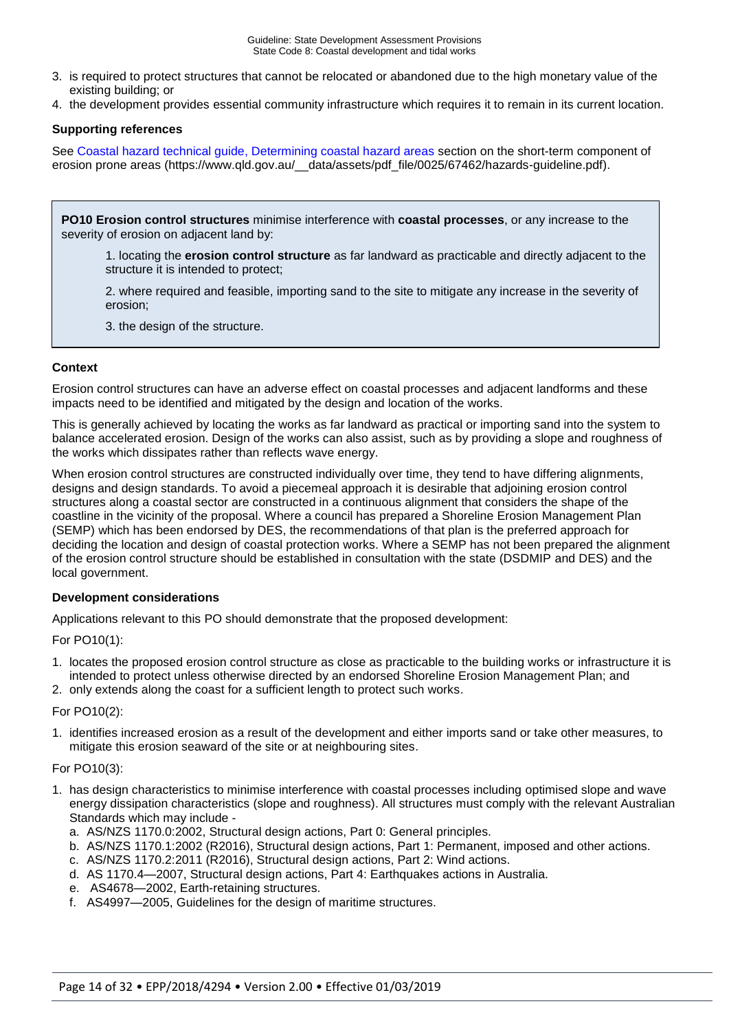- 3. is required to protect structures that cannot be relocated or abandoned due to the high monetary value of the existing building; or
- 4. the development provides essential community infrastructure which requires it to remain in its current location.

#### **Supporting references**

See Coastal hazard technical guide, [Determining coastal hazard areas](https://www.qld.gov.au/__data/assets/pdf_file/0025/67462/hazards-guideline.pdf) section on the short-term component of erosion prone areas (https://www.qld.gov.au/ data/assets/pdf file/0025/67462/hazards-guideline.pdf).

**PO10 Erosion control structures** minimise interference with **coastal processes**, or any increase to the severity of erosion on adjacent land by:

1. locating the **erosion control structure** as far landward as practicable and directly adjacent to the structure it is intended to protect;

2. where required and feasible, importing sand to the site to mitigate any increase in the severity of erosion;

3. the design of the structure.

#### **Context**

Erosion control structures can have an adverse effect on coastal processes and adjacent landforms and these impacts need to be identified and mitigated by the design and location of the works.

This is generally achieved by locating the works as far landward as practical or importing sand into the system to balance accelerated erosion. Design of the works can also assist, such as by providing a slope and roughness of the works which dissipates rather than reflects wave energy.

When erosion control structures are constructed individually over time, they tend to have differing alignments, designs and design standards. To avoid a piecemeal approach it is desirable that adjoining erosion control structures along a coastal sector are constructed in a continuous alignment that considers the shape of the coastline in the vicinity of the proposal. Where a council has prepared a Shoreline Erosion Management Plan (SEMP) which has been endorsed by DES, the recommendations of that plan is the preferred approach for deciding the location and design of coastal protection works. Where a SEMP has not been prepared the alignment of the erosion control structure should be established in consultation with the state (DSDMIP and DES) and the local government.

#### **Development considerations**

Applications relevant to this PO should demonstrate that the proposed development:

For PO10(1):

- 1. locates the proposed erosion control structure as close as practicable to the building works or infrastructure it is intended to protect unless otherwise directed by an endorsed Shoreline Erosion Management Plan; and
- 2. only extends along the coast for a sufficient length to protect such works.

#### For PO10(2):

1. identifies increased erosion as a result of the development and either imports sand or take other measures, to mitigate this erosion seaward of the site or at neighbouring sites.

#### For PO10(3):

- 1. has design characteristics to minimise interference with coastal processes including optimised slope and wave energy dissipation characteristics (slope and roughness). All structures must comply with the relevant Australian Standards which may include
	- a. AS/NZS 1170.0:2002, Structural design actions, Part 0: General principles.
	- b. AS/NZS 1170.1:2002 (R2016), Structural design actions, Part 1: Permanent, imposed and other actions.
	- c. AS/NZS 1170.2:2011 (R2016), Structural design actions, Part 2: Wind actions.
	- d. AS 1170.4—2007, Structural design actions, Part 4: Earthquakes actions in Australia.
	- e. AS4678—2002, Earth-retaining structures.
	- f. AS4997—2005, Guidelines for the design of maritime structures.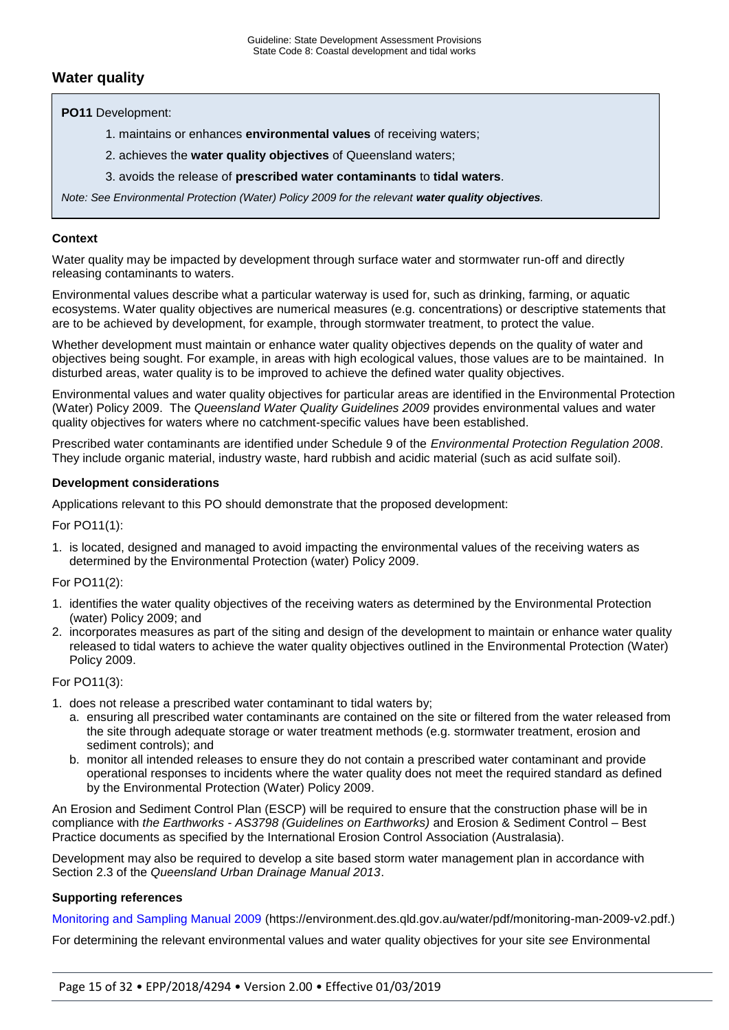## **Water quality**

**PO11** Development:

- 1. maintains or enhances **environmental values** of receiving waters;
- 2. achieves the **water quality objectives** of Queensland waters;
- 3. avoids the release of **prescribed water contaminants** to **tidal waters**.

*Note: See Environmental Protection (Water) Policy 2009 for the relevant water quality objectives.* 

#### **Context**

Water quality may be impacted by development through surface water and stormwater run-off and directly releasing contaminants to waters.

Environmental values describe what a particular waterway is used for, such as drinking, farming, or aquatic ecosystems. Water quality objectives are numerical measures (e.g. concentrations) or descriptive statements that are to be achieved by development, for example, through stormwater treatment, to protect the value.

Whether development must maintain or enhance water quality objectives depends on the quality of water and objectives being sought. For example, in areas with high ecological values, those values are to be maintained. In disturbed areas, water quality is to be improved to achieve the defined water quality objectives.

Environmental values and water quality objectives for particular areas are identified in the Environmental Protection (Water) Policy 2009. The *Queensland Water Quality Guidelines 2009* provides environmental values and water quality objectives for waters where no catchment-specific values have been established.

Prescribed water contaminants are identified under Schedule 9 of the *Environmental Protection Regulation 2008*. They include organic material, industry waste, hard rubbish and acidic material (such as acid sulfate soil).

#### **Development considerations**

Applications relevant to this PO should demonstrate that the proposed development:

For PO11(1):

1. is located, designed and managed to avoid impacting the environmental values of the receiving waters as determined by the Environmental Protection (water) Policy 2009.

#### For PO11(2):

- 1. identifies the water quality objectives of the receiving waters as determined by the Environmental Protection (water) Policy 2009; and
- 2. incorporates measures as part of the siting and design of the development to maintain or enhance water quality released to tidal waters to achieve the water quality objectives outlined in the Environmental Protection (Water) Policy 2009.

For PO11(3):

- 1. does not release a prescribed water contaminant to tidal waters by;
	- a. ensuring all prescribed water contaminants are contained on the site or filtered from the water released from the site through adequate storage or water treatment methods (e.g. stormwater treatment, erosion and sediment controls); and
	- b. monitor all intended releases to ensure they do not contain a prescribed water contaminant and provide operational responses to incidents where the water quality does not meet the required standard as defined by the Environmental Protection (Water) Policy 2009.

An Erosion and Sediment Control Plan (ESCP) will be required to ensure that the construction phase will be in compliance with *the Earthworks - AS3798 (Guidelines on Earthworks)* and Erosion & Sediment Control – Best Practice documents as specified by the International Erosion Control Association (Australasia).

Development may also be required to develop a site based storm water management plan in accordance with Section 2.3 of the *Queensland Urban Drainage Manual 2013*.

#### **Supporting references**

[Monitoring and Sampling Manual 2009](https://environment.des.qld.gov.au/water/pdf/monitoring-man-2009-v2.pdf) (https://environment.des.qld.gov.au/water/pdf/monitoring-man-2009-v2.pdf.)

For determining the relevant environmental values and water quality objectives for your site *see* Environmental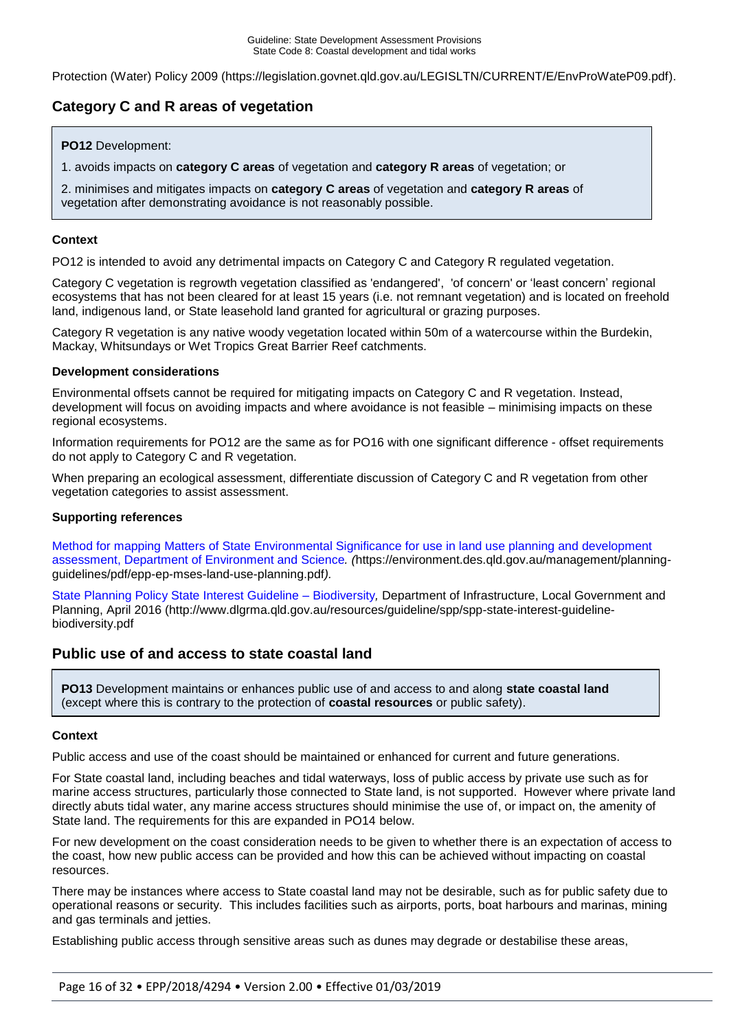Protection (Water) Policy 2009 [\(https://legislation.govnet.qld.gov.au/LEGISLTN/CURRENT/E/EnvProWateP09.pdf\)](https://legislation.govnet.qld.gov.au/LEGISLTN/CURRENT/E/EnvProWateP09.pdf).

## **Category C and R areas of vegetation**

#### **PO12** Development:

1. avoids impacts on **category C areas** of vegetation and **category R areas** of vegetation; or

2. minimises and mitigates impacts on **category C areas** of vegetation and **category R areas** of vegetation after demonstrating avoidance is not reasonably possible.

#### **Context**

PO12 is intended to avoid any detrimental impacts on Category C and Category R regulated vegetation.

Category C vegetation is regrowth vegetation classified as 'endangered', 'of concern' or 'least concern' regional ecosystems that has not been cleared for at least 15 years (i.e. not remnant vegetation) and is located on freehold land, indigenous land, or State leasehold land granted for agricultural or grazing purposes.

Category R vegetation is any native woody vegetation located within 50m of a watercourse within the Burdekin, Mackay, Whitsundays or Wet Tropics Great Barrier Reef catchments.

#### **Development considerations**

Environmental offsets cannot be required for mitigating impacts on Category C and R vegetation. Instead, development will focus on avoiding impacts and where avoidance is not feasible – minimising impacts on these regional ecosystems.

Information requirements for PO12 are the same as for PO16 with one significant difference - offset requirements do not apply to Category C and R vegetation.

When preparing an ecological assessment, differentiate discussion of Category C and R vegetation from other vegetation categories to assist assessment.

#### **Supporting references**

[Method for mapping Matters of State Environmental Significance for use in land use planning and development](https://environment.des.qld.gov.au/management/planning-guidelines/pdf/epp-ep-mses-land-use-planning.pdf)  [assessment, Department of Environment and Science](https://environment.des.qld.gov.au/management/planning-guidelines/pdf/epp-ep-mses-land-use-planning.pdf)*. (*https://environment.des.qld.gov.au/management/planningguidelines/pdf/epp-ep-mses-land-use-planning.pdf*).*

[State Planning Policy State Interest Guideline –](http://www.dlgrma.qld.gov.au/resources/guideline/spp/spp-state-interest-guideline-biodiversity.pdf) Biodiversity*,* Department of Infrastructure, Local Government and Planning, April 2016 (http://www.dlgrma.qld.gov.au/resources/guideline/spp/spp-state-interest-guidelinebiodiversity.pdf

### **Public use of and access to state coastal land**

**PO13** Development maintains or enhances public use of and access to and along **state coastal land**  (except where this is contrary to the protection of **coastal resources** or public safety).

#### **Context**

Public access and use of the coast should be maintained or enhanced for current and future generations.

For State coastal land, including beaches and tidal waterways, loss of public access by private use such as for marine access structures, particularly those connected to State land, is not supported. However where private land directly abuts tidal water, any marine access structures should minimise the use of, or impact on, the amenity of State land. The requirements for this are expanded in PO14 below.

For new development on the coast consideration needs to be given to whether there is an expectation of access to the coast, how new public access can be provided and how this can be achieved without impacting on coastal resources.

There may be instances where access to State coastal land may not be desirable, such as for public safety due to operational reasons or security. This includes facilities such as airports, ports, boat harbours and marinas, mining and gas terminals and jetties.

Establishing public access through sensitive areas such as dunes may degrade or destabilise these areas,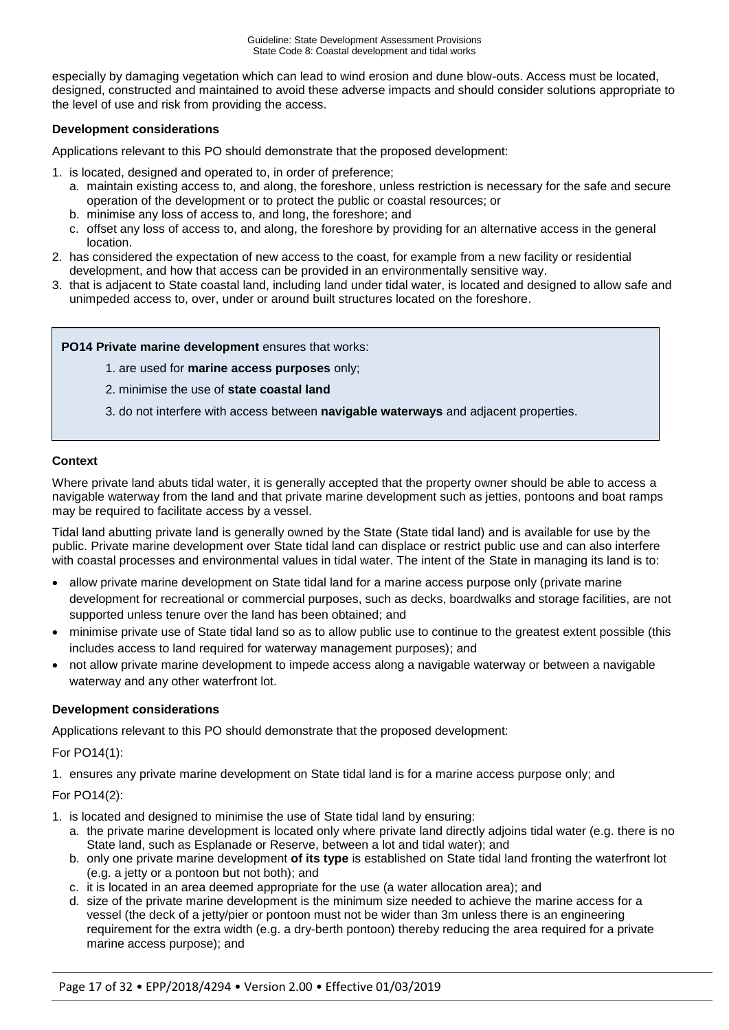especially by damaging vegetation which can lead to wind erosion and dune blow-outs. Access must be located, designed, constructed and maintained to avoid these adverse impacts and should consider solutions appropriate to the level of use and risk from providing the access.

#### **Development considerations**

Applications relevant to this PO should demonstrate that the proposed development:

1. is located, designed and operated to, in order of preference;

- a. maintain existing access to, and along, the foreshore, unless restriction is necessary for the safe and secure operation of the development or to protect the public or coastal resources; or
- b. minimise any loss of access to, and long, the foreshore; and
- c. offset any loss of access to, and along, the foreshore by providing for an alternative access in the general location.
- 2. has considered the expectation of new access to the coast, for example from a new facility or residential development, and how that access can be provided in an environmentally sensitive way.
- 3. that is adjacent to State coastal land, including land under tidal water, is located and designed to allow safe and unimpeded access to, over, under or around built structures located on the foreshore.

**PO14 Private marine development** ensures that works:

1. are used for **marine access purposes** only;

2. minimise the use of **state coastal land**

3. do not interfere with access between **navigable waterways** and adjacent properties.

### **Context**

Where private land abuts tidal water, it is generally accepted that the property owner should be able to access a navigable waterway from the land and that private marine development such as jetties, pontoons and boat ramps may be required to facilitate access by a vessel.

Tidal land abutting private land is generally owned by the State (State tidal land) and is available for use by the public. Private marine development over State tidal land can displace or restrict public use and can also interfere with coastal processes and environmental values in tidal water. The intent of the State in managing its land is to:

- allow private marine development on State tidal land for a marine access purpose only (private marine development for recreational or commercial purposes, such as decks, boardwalks and storage facilities, are not supported unless tenure over the land has been obtained; and
- minimise private use of State tidal land so as to allow public use to continue to the greatest extent possible (this includes access to land required for waterway management purposes); and
- not allow private marine development to impede access along a navigable waterway or between a navigable waterway and any other waterfront lot.

#### **Development considerations**

Applications relevant to this PO should demonstrate that the proposed development:

For PO14(1):

1. ensures any private marine development on State tidal land is for a marine access purpose only; and

For PO14(2):

- 1. is located and designed to minimise the use of State tidal land by ensuring:
	- a. the private marine development is located only where private land directly adjoins tidal water (e.g. there is no State land, such as Esplanade or Reserve, between a lot and tidal water); and
	- b. only one private marine development **of its type** is established on State tidal land fronting the waterfront lot (e.g. a jetty or a pontoon but not both); and
	- c. it is located in an area deemed appropriate for the use (a water allocation area); and
	- d. size of the private marine development is the minimum size needed to achieve the marine access for a vessel (the deck of a jetty/pier or pontoon must not be wider than 3m unless there is an engineering requirement for the extra width (e.g. a dry-berth pontoon) thereby reducing the area required for a private marine access purpose); and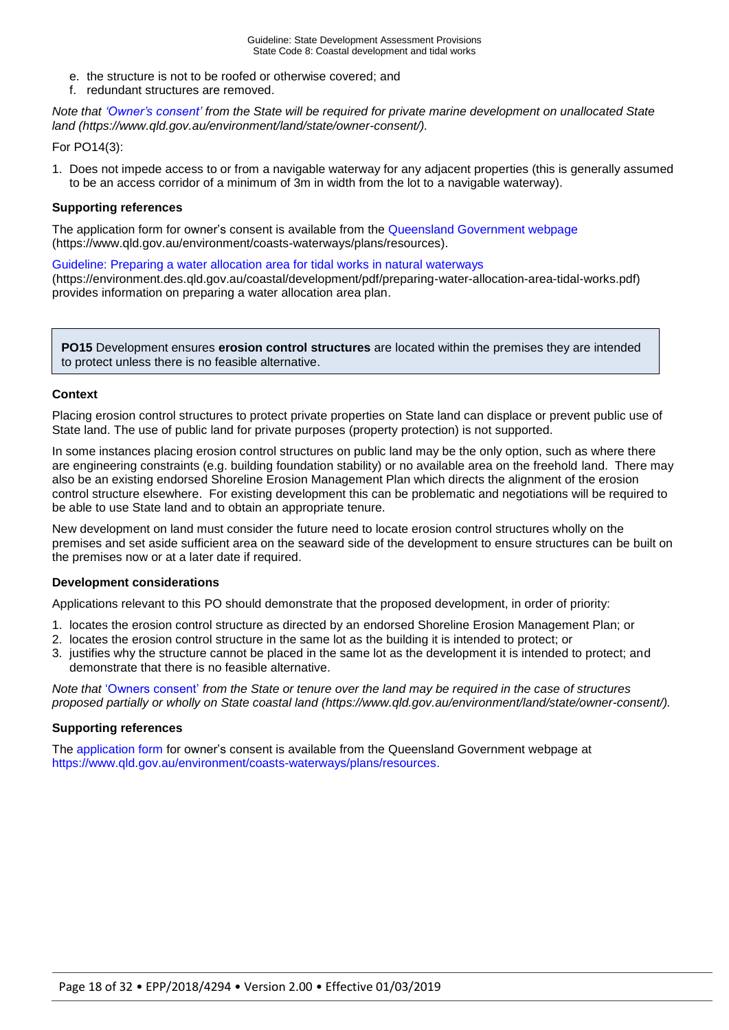- e. the structure is not to be roofed or otherwise covered; and
- f. redundant structures are removed.

*Note that ['Owner's consent'](https://www.qld.gov.au/environment/land/state/owner-consent/) from the State will be required for private marine development on unallocated State land [\(https://www.qld.gov.au/environment/land/state/owner-consent/\)](https://www.qld.gov.au/environment/land/state/owner-consent/).*

#### For PO14(3):

1. Does not impede access to or from a navigable waterway for any adjacent properties (this is generally assumed to be an access corridor of a minimum of 3m in width from the lot to a navigable waterway).

#### **Supporting references**

The application form for owner's consent is available from the [Queensland Government webpage](http://www.dlgrma.qld.gov.au/resources/guideline/spp/spp-state-interest-guideline-biodiversity.pdf) (https://www.qld.gov.au/environment/coasts-waterways/plans/resources).

[Guideline: Preparing a water allocation area for tidal works in natural waterways](https://environment.des.qld.gov.au/coastal/development/pdf/preparing-water-allocation-area-tidal-works.pdf)

(https://environment.des.qld.gov.au/coastal/development/pdf/preparing-water-allocation-area-tidal-works.pdf) provides information on preparing a water allocation area plan.

**PO15** Development ensures **erosion control structures** are located within the premises they are intended to protect unless there is no feasible alternative.

#### **Context**

Placing erosion control structures to protect private properties on State land can displace or prevent public use of State land. The use of public land for private purposes (property protection) is not supported.

In some instances placing erosion control structures on public land may be the only option, such as where there are engineering constraints (e.g. building foundation stability) or no available area on the freehold land. There may also be an existing endorsed Shoreline Erosion Management Plan which directs the alignment of the erosion control structure elsewhere. For existing development this can be problematic and negotiations will be required to be able to use State land and to obtain an appropriate tenure.

New development on land must consider the future need to locate erosion control structures wholly on the premises and set aside sufficient area on the seaward side of the development to ensure structures can be built on the premises now or at a later date if required.

#### **Development considerations**

Applications relevant to this PO should demonstrate that the proposed development, in order of priority:

- 1. locates the erosion control structure as directed by an endorsed Shoreline Erosion Management Plan; or
- 2. locates the erosion control structure in the same lot as the building it is intended to protect; or
- 3. justifies why the structure cannot be placed in the same lot as the development it is intended to protect; and demonstrate that there is no feasible alternative.

*Note that* ['Owners consent'](https://www.qld.gov.au/environment/land/state/owner-consent/) *from the State or tenure over the land may be required in the case of structures proposed partially or wholly on State coastal land [\(https://www.qld.gov.au/environment/land/state/owner-consent/\)](https://www.qld.gov.au/environment/land/state/owner-consent/).* 

#### **Supporting references**

The [application form](https://www.qld.gov.au/environment/coasts-waterways/plans/resources/_nocache) for owner's consent is available from the Queensland Government webpage at [https://www.qld.gov.au/environment/coasts-waterways/plans/resources.](https://www.qld.gov.au/environment/coasts-waterways/plans/resources)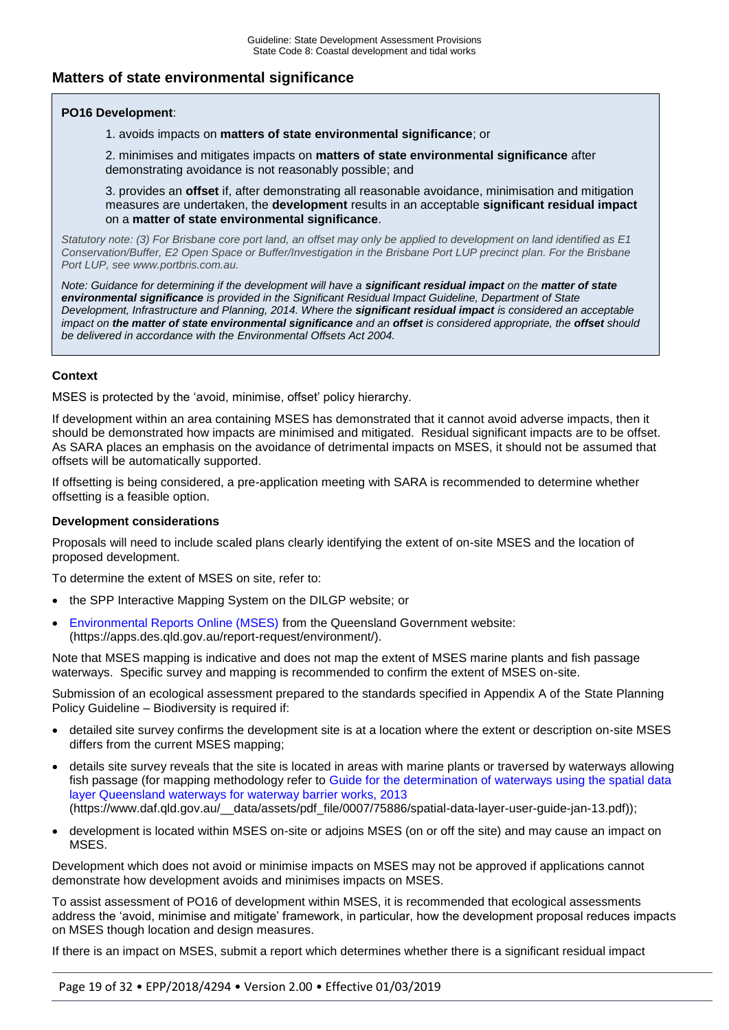## **Matters of state environmental significance**

#### **PO16 Development**:

1. avoids impacts on **matters of state environmental significance**; or

2. minimises and mitigates impacts on **matters of state environmental significance** after demonstrating avoidance is not reasonably possible; and

3. provides an **offset** if, after demonstrating all reasonable avoidance, minimisation and mitigation measures are undertaken, the **development** results in an acceptable **significant residual impact**  on a **matter of state environmental significance**.

*Statutory note: (3) For Brisbane core port land, an offset may only be applied to development on land identified as E1 Conservation/Buffer, E2 Open Space or Buffer/Investigation in the Brisbane Port LUP precinct plan. For the Brisbane Port LUP, se[e www.portbris.com.au.](http://www.portbris.com.au/)* 

*Note: Guidance for determining if the development will have a <i>significant residual impact on the matter of state environmental significance is provided in the Significant Residual Impact Guideline, Department of State Development, Infrastructure and Planning, 2014. Where the significant residual impact is considered an acceptable impact on the matter of state environmental significance and an offset is considered appropriate, the offset should be delivered in accordance with the Environmental Offsets Act 2004.*

#### **Context**

MSES is protected by the 'avoid, minimise, offset' policy hierarchy.

If development within an area containing MSES has demonstrated that it cannot avoid adverse impacts, then it should be demonstrated how impacts are minimised and mitigated. Residual significant impacts are to be offset. As SARA places an emphasis on the avoidance of detrimental impacts on MSES, it should not be assumed that offsets will be automatically supported.

If offsetting is being considered, a pre-application meeting with SARA is recommended to determine whether offsetting is a feasible option.

#### **Development considerations**

Proposals will need to include scaled plans clearly identifying the extent of on-site MSES and the location of proposed development.

To determine the extent of MSES on site, refer to:

- the SPP Interactive Mapping System on the DILGP website; or
- [Environmental Reports Online \(MSES\)](https://apps.des.qld.gov.au/report-request/environment/) from the Queensland Government website: (https://apps.des.qld.gov.au/report-request/environment/).

Note that MSES mapping is indicative and does not map the extent of MSES marine plants and fish passage waterways. Specific survey and mapping is recommended to confirm the extent of MSES on-site.

Submission of an ecological assessment prepared to the standards specified in Appendix A of the State Planning Policy Guideline – Biodiversity is required if:

- detailed site survey confirms the development site is at a location where the extent or description on-site MSES differs from the current MSES mapping;
- details site survey reveals that the site is located in areas with marine plants or traversed by waterways allowing fish passage (for mapping methodology refer to [Guide for the determination of waterways using the spatial data](https://www.daf.qld.gov.au/__data/assets/pdf_file/0007/75886/spatial-data-layer-user-guide-jan-13.pdf)  [layer Queensland waterways for waterway barrier works, 2013](https://www.daf.qld.gov.au/__data/assets/pdf_file/0007/75886/spatial-data-layer-user-guide-jan-13.pdf) (https://www.daf.qld.gov.au/\_\_data/assets/pdf\_file/0007/75886/spatial-data-layer-user-guide-jan-13.pdf));
- development is located within MSES on-site or adjoins MSES (on or off the site) and may cause an impact on MSES.

Development which does not avoid or minimise impacts on MSES may not be approved if applications cannot demonstrate how development avoids and minimises impacts on MSES.

To assist assessment of PO16 of development within MSES, it is recommended that ecological assessments address the 'avoid, minimise and mitigate' framework, in particular, how the development proposal reduces impacts on MSES though location and design measures.

If there is an impact on MSES, submit a report which determines whether there is a significant residual impact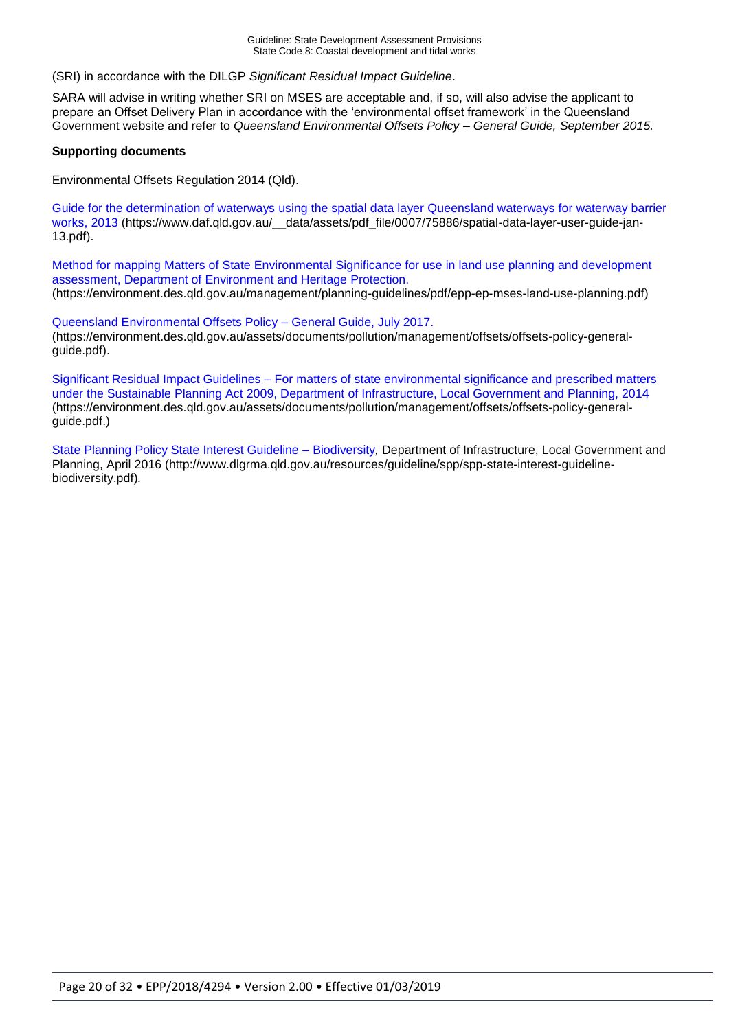(SRI) in accordance with the DILGP *Significant Residual Impact Guideline*.

SARA will advise in writing whether SRI on MSES are acceptable and, if so, will also advise the applicant to prepare an Offset Delivery Plan in accordance with the 'environmental offset framework' in the Queensland Government website and refer to *Queensland Environmental Offsets Policy – General Guide, September 2015.*

#### **Supporting documents**

Environmental Offsets Regulation 2014 (Qld).

[Guide for the determination of waterways using the spatial data layer Queensland waterways for waterway barrier](https://www.daf.qld.gov.au/__data/assets/pdf_file/0007/75886/spatial-data-layer-user-guide-jan-13.pdf)  [works, 2013](https://www.daf.qld.gov.au/__data/assets/pdf_file/0007/75886/spatial-data-layer-user-guide-jan-13.pdf) (https://www.daf.gld.gov.au/ \_\_data/assets/pdf\_file/0007/75886/spatial-data-layer-user-guide-jan-13.pdf).

[Method for mapping Matters of State Environmental Significance for use in land use planning and development](https://environment.des.qld.gov.au/management/planning-guidelines/pdf/epp-ep-mses-land-use-planning.pdf)  [assessment, Department of Environment and Heritage Protection.](https://environment.des.qld.gov.au/management/planning-guidelines/pdf/epp-ep-mses-land-use-planning.pdf) (https://environment.des.qld.gov.au/management/planning-guidelines/pdf/epp-ep-mses-land-use-planning.pdf)

[Queensland Environmental Offsets Policy –](https://environment.des.qld.gov.au/assets/documents/pollution/management/offsets/offsets-policy-general-guide.pdf) General Guide, July 2017. (https://environment.des.qld.gov.au/assets/documents/pollution/management/offsets/offsets-policy-generalguide.pdf).

Significant Residual Impact Guidelines – [For matters of state environmental significance and prescribed matters](https://environment.des.qld.gov.au/assets/documents/pollution/management/offsets/offsets-policy-general-guide.pdf)  [under the Sustainable Planning Act 2009, Department of Infrastructure, Local Government and Planning, 2014](https://environment.des.qld.gov.au/assets/documents/pollution/management/offsets/offsets-policy-general-guide.pdf) (https://environment.des.qld.gov.au/assets/documents/pollution/management/offsets/offsets-policy-generalguide.pdf.)

[State Planning Policy State Interest Guideline –](http://www.dlgrma.qld.gov.au/resources/guideline/spp/spp-state-interest-guideline-biodiversity.pdf) Biodiversity*,* Department of Infrastructure, Local Government and Planning, April 2016 (http://www.dlgrma.qld.gov.au/resources/guideline/spp/spp-state-interest-guidelinebiodiversity.pdf)*.*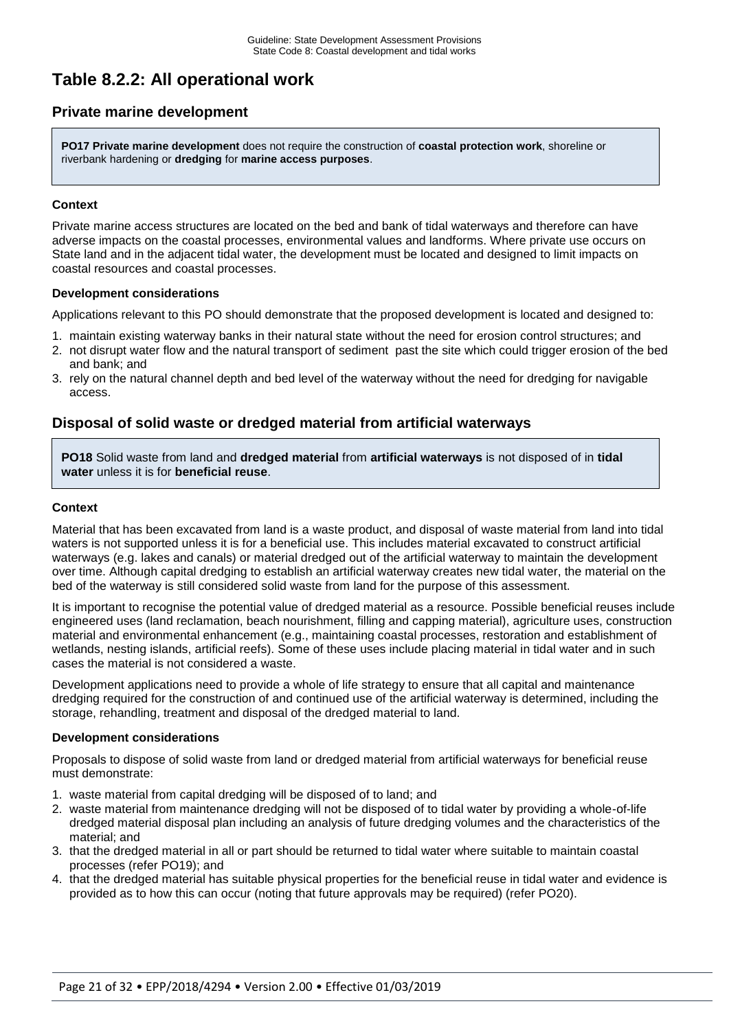# **Table 8.2.2: All operational work**

## **Private marine development**

**PO17 Private marine development** does not require the construction of **coastal protection work**, shoreline or riverbank hardening or **dredging** for **marine access purposes**.

#### **Context**

Private marine access structures are located on the bed and bank of tidal waterways and therefore can have adverse impacts on the coastal processes, environmental values and landforms. Where private use occurs on State land and in the adjacent tidal water, the development must be located and designed to limit impacts on coastal resources and coastal processes.

#### **Development considerations**

Applications relevant to this PO should demonstrate that the proposed development is located and designed to:

- 1. maintain existing waterway banks in their natural state without the need for erosion control structures; and 2. not disrupt water flow and the natural transport of sediment past the site which could trigger erosion of the bed
- and bank; and
- 3. rely on the natural channel depth and bed level of the waterway without the need for dredging for navigable access.

## **Disposal of solid waste or dredged material from artificial waterways**

**PO18** Solid waste from land and **dredged material** from **artificial waterways** is not disposed of in **tidal water** unless it is for **beneficial reuse**.

#### **Context**

Material that has been excavated from land is a waste product, and disposal of waste material from land into tidal waters is not supported unless it is for a beneficial use. This includes material excavated to construct artificial waterways (e.g. lakes and canals) or material dredged out of the artificial waterway to maintain the development over time. Although capital dredging to establish an artificial waterway creates new tidal water, the material on the bed of the waterway is still considered solid waste from land for the purpose of this assessment.

It is important to recognise the potential value of dredged material as a resource. Possible beneficial reuses include engineered uses (land reclamation, beach nourishment, filling and capping material), agriculture uses, construction material and environmental enhancement (e.g., maintaining coastal processes, restoration and establishment of wetlands, nesting islands, artificial reefs). Some of these uses include placing material in tidal water and in such cases the material is not considered a waste.

Development applications need to provide a whole of life strategy to ensure that all capital and maintenance dredging required for the construction of and continued use of the artificial waterway is determined, including the storage, rehandling, treatment and disposal of the dredged material to land.

#### **Development considerations**

Proposals to dispose of solid waste from land or dredged material from artificial waterways for beneficial reuse must demonstrate:

- 1. waste material from capital dredging will be disposed of to land; and
- 2. waste material from maintenance dredging will not be disposed of to tidal water by providing a whole-of-life dredged material disposal plan including an analysis of future dredging volumes and the characteristics of the material; and
- 3. that the dredged material in all or part should be returned to tidal water where suitable to maintain coastal processes (refer PO19); and
- 4. that the dredged material has suitable physical properties for the beneficial reuse in tidal water and evidence is provided as to how this can occur (noting that future approvals may be required) (refer PO20).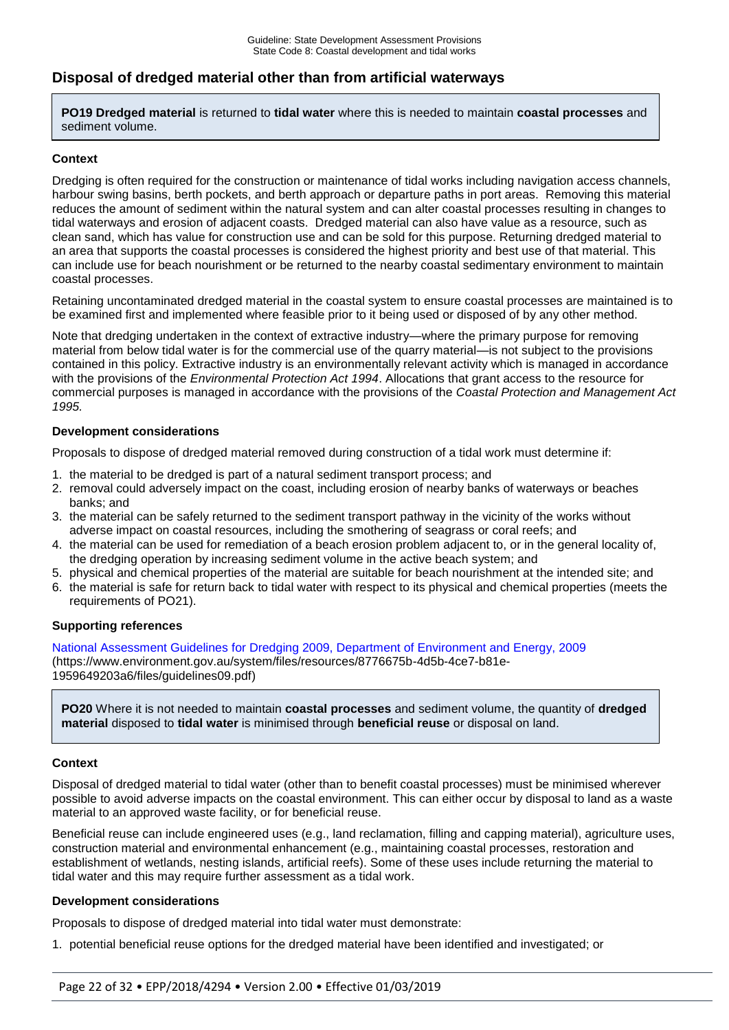## **Disposal of dredged material other than from artificial waterways**

**PO19 Dredged material** is returned to **tidal water** where this is needed to maintain **coastal processes** and sediment volume.

#### **Context**

Dredging is often required for the construction or maintenance of tidal works including navigation access channels, harbour swing basins, berth pockets, and berth approach or departure paths in port areas. Removing this material reduces the amount of sediment within the natural system and can alter coastal processes resulting in changes to tidal waterways and erosion of adjacent coasts. Dredged material can also have value as a resource, such as clean sand, which has value for construction use and can be sold for this purpose. Returning dredged material to an area that supports the coastal processes is considered the highest priority and best use of that material. This can include use for beach nourishment or be returned to the nearby coastal sedimentary environment to maintain coastal processes.

Retaining uncontaminated dredged material in the coastal system to ensure coastal processes are maintained is to be examined first and implemented where feasible prior to it being used or disposed of by any other method.

Note that dredging undertaken in the context of extractive industry—where the primary purpose for removing material from below tidal water is for the commercial use of the quarry material—is not subject to the provisions contained in this policy. Extractive industry is an environmentally relevant activity which is managed in accordance with the provisions of the *Environmental Protection Act 1994*. Allocations that grant access to the resource for commercial purposes is managed in accordance with the provisions of the *Coastal Protection and Management Act 1995.*

#### **Development considerations**

Proposals to dispose of dredged material removed during construction of a tidal work must determine if:

- 1. the material to be dredged is part of a natural sediment transport process; and
- 2. removal could adversely impact on the coast, including erosion of nearby banks of waterways or beaches banks; and
- 3. the material can be safely returned to the sediment transport pathway in the vicinity of the works without adverse impact on coastal resources, including the smothering of seagrass or coral reefs; and
- 4. the material can be used for remediation of a beach erosion problem adjacent to, or in the general locality of, the dredging operation by increasing sediment volume in the active beach system; and
- 5. physical and chemical properties of the material are suitable for beach nourishment at the intended site; and
- 6. the material is safe for return back to tidal water with respect to its physical and chemical properties (meets the requirements of PO21).

#### **Supporting references**

National Assessment Guidelines [for Dredging 2009, Department of Environment and Energy, 2009](https://www.environment.gov.au/system/files/resources/8776675b-4d5b-4ce7-b81e-1959649203a6/files/guidelines09.pdf) [\(https://www.environment.gov.au/system/files/resources/8776675b-4d5b-4ce7-b81e-](https://www.environment.gov.au/system/files/resources/8776675b-4d5b-4ce7-b81e-1959649203a6/files/guidelines09.pdf)[1959649203a6/files/guidelines09.pdf\)](https://www.environment.gov.au/system/files/resources/8776675b-4d5b-4ce7-b81e-1959649203a6/files/guidelines09.pdf)

**PO20** Where it is not needed to maintain **coastal processes** and sediment volume, the quantity of **dredged material** disposed to **tidal water** is minimised through **beneficial reuse** or disposal on land.

#### **Context**

Disposal of dredged material to tidal water (other than to benefit coastal processes) must be minimised wherever possible to avoid adverse impacts on the coastal environment. This can either occur by disposal to land as a waste material to an approved waste facility, or for beneficial reuse.

Beneficial reuse can include engineered uses (e.g., land reclamation, filling and capping material), agriculture uses, construction material and environmental enhancement (e.g., maintaining coastal processes, restoration and establishment of wetlands, nesting islands, artificial reefs). Some of these uses include returning the material to tidal water and this may require further assessment as a tidal work.

#### **Development considerations**

Proposals to dispose of dredged material into tidal water must demonstrate:

1. potential beneficial reuse options for the dredged material have been identified and investigated; or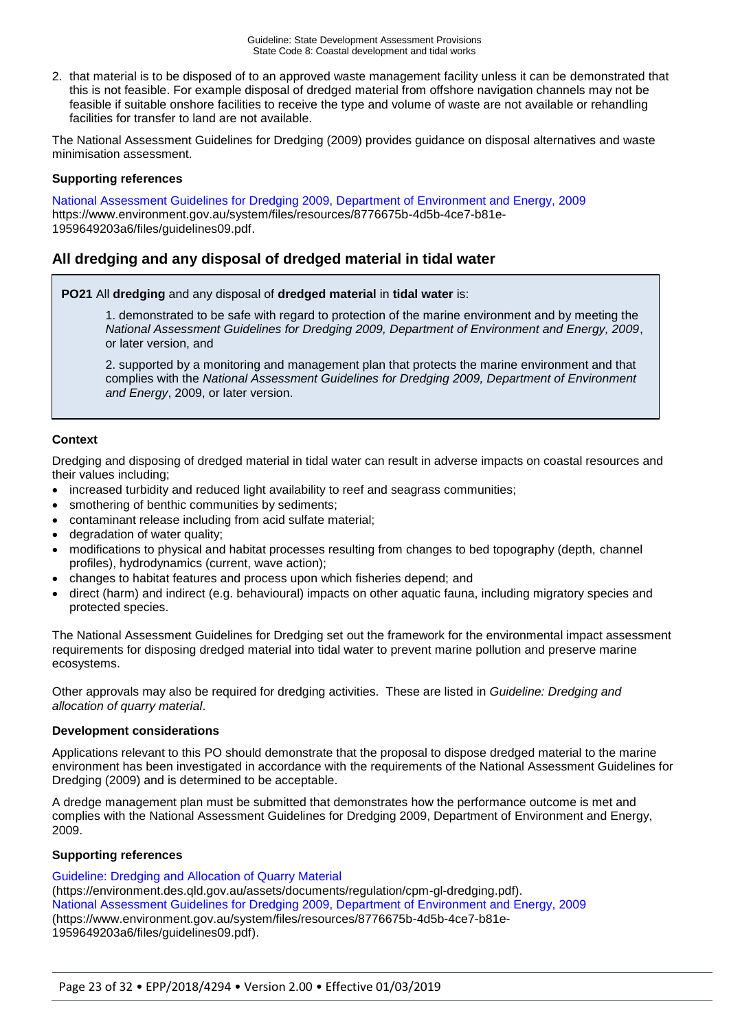2. that material is to be disposed of to an approved waste management facility unless it can be demonstrated that this is not feasible. For example disposal of dredged material from offshore navigation channels may not be feasible if suitable onshore facilities to receive the type and volume of waste are not available or rehandling facilities for transfer to land are not available.

The National Assessment Guidelines for Dredging (2009) provides guidance on disposal alternatives and waste minimisation assessment.

#### **Supporting references**

[National Assessment Guidelines for Dredging 2009, Department of Environment and Energy, 2009](https://www.environment.gov.au/system/files/resources/8776675b-4d5b-4ce7-b81e-1959649203a6/files/guidelines09.pdf) [https://www.environment.gov.au/system/files/resources/8776675b-4d5b-4ce7-b81e-](https://www.environment.gov.au/system/files/resources/8776675b-4d5b-4ce7-b81e-1959649203a6/files/guidelines09.pdf)[1959649203a6/files/guidelines09.pdf.](https://www.environment.gov.au/system/files/resources/8776675b-4d5b-4ce7-b81e-1959649203a6/files/guidelines09.pdf)

## **All dredging and any disposal of dredged material in tidal water**

**PO21** All **dredging** and any disposal of **dredged material** in **tidal water** is:

1. demonstrated to be safe with regard to protection of the marine environment and by meeting the *National Assessment Guidelines for Dredging 2009, Department of Environment and Energy, 2009*, or later version, and

2. supported by a monitoring and management plan that protects the marine environment and that complies with the *National Assessment Guidelines for Dredging 2009, Department of Environment and Energy*, 2009, or later version.

#### **Context**

Dredging and disposing of dredged material in tidal water can result in adverse impacts on coastal resources and their values including;

- increased turbidity and reduced light availability to reef and seagrass communities;
- smothering of benthic communities by sediments;
- contaminant release including from acid sulfate material;
- degradation of water quality;
- modifications to physical and habitat processes resulting from changes to bed topography (depth, channel profiles), hydrodynamics (current, wave action);
- changes to habitat features and process upon which fisheries depend; and
- direct (harm) and indirect (e.g. behavioural) impacts on other aquatic fauna, including migratory species and protected species.

The National Assessment Guidelines for Dredging set out the framework for the environmental impact assessment requirements for disposing dredged material into tidal water to prevent marine pollution and preserve marine ecosystems.

Other approvals may also be required for dredging activities. These are listed in *Guideline: Dredging and allocation of quarry material*.

#### **Development considerations**

Applications relevant to this PO should demonstrate that the proposal to dispose dredged material to the marine environment has been investigated in accordance with the requirements of the National Assessment Guidelines for Dredging (2009) and is determined to be acceptable.

A dredge management plan must be submitted that demonstrates how the performance outcome is met and complies with the National Assessment Guidelines for Dredging 2009, Department of Environment and Energy, 2009.

#### **Supporting references**

[Guideline: Dredging and Allocation of Quarry Material](https://environment.des.qld.gov.au/assets/documents/regulation/cpm-gl-dredging.pdf) (https://environment.des.qld.gov.au/assets/documents/regulation/cpm-gl-dredging.pdf). [National Assessment Guidelines for Dredging 2009, Department of Environment and Energy, 2009](https://www.environment.gov.au/system/files/resources/8776675b-4d5b-4ce7-b81e-1959649203a6/files/guidelines09.pdf) [\(https://www.environment.gov.au/system/files/resources/8776675b-4d5b-4ce7-b81e-](https://www.environment.gov.au/system/files/resources/8776675b-4d5b-4ce7-b81e-1959649203a6/files/guidelines09.pdf)[1959649203a6/files/guidelines09.pdf\)](https://www.environment.gov.au/system/files/resources/8776675b-4d5b-4ce7-b81e-1959649203a6/files/guidelines09.pdf).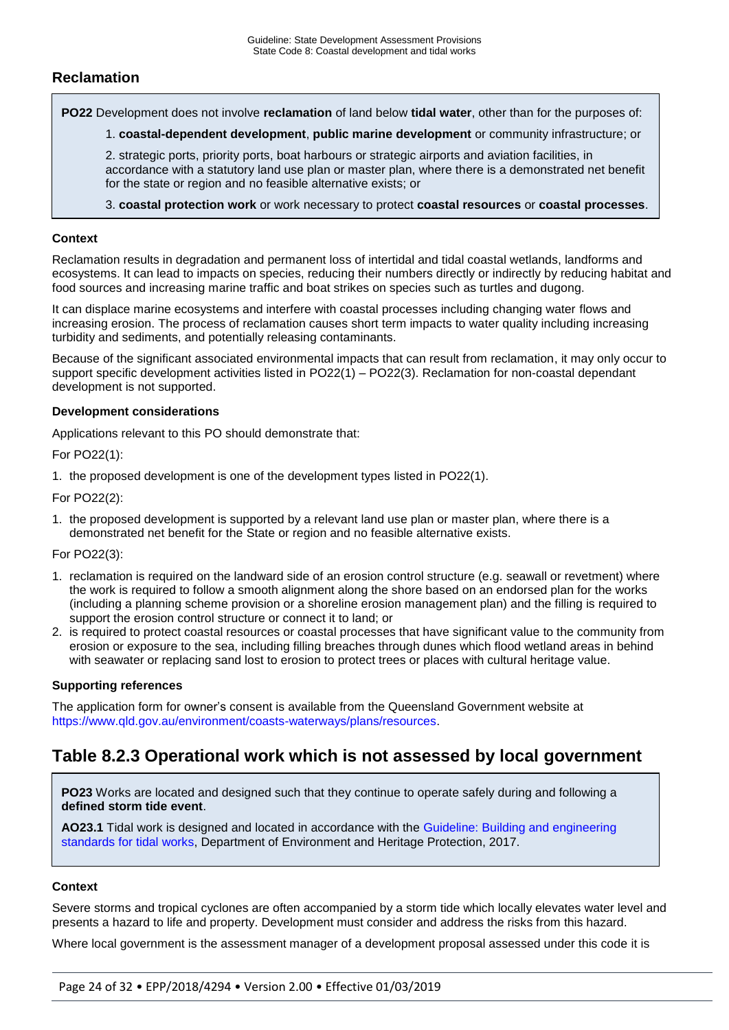## **Reclamation**

**PO22** Development does not involve **reclamation** of land below **tidal water**, other than for the purposes of:

1. **coastal-dependent development**, **public marine development** or community infrastructure; or

2. strategic ports, priority ports, boat harbours or strategic airports and aviation facilities, in accordance with a statutory land use plan or master plan, where there is a demonstrated net benefit for the state or region and no feasible alternative exists; or

3. **coastal protection work** or work necessary to protect **coastal resources** or **coastal processes**.

#### **Context**

Reclamation results in degradation and permanent loss of intertidal and tidal coastal wetlands, landforms and ecosystems. It can lead to impacts on species, reducing their numbers directly or indirectly by reducing habitat and food sources and increasing marine traffic and boat strikes on species such as turtles and dugong.

It can displace marine ecosystems and interfere with coastal processes including changing water flows and increasing erosion. The process of reclamation causes short term impacts to water quality including increasing turbidity and sediments, and potentially releasing contaminants.

Because of the significant associated environmental impacts that can result from reclamation, it may only occur to support specific development activities listed in PO22(1) – PO22(3). Reclamation for non-coastal dependant development is not supported.

#### **Development considerations**

Applications relevant to this PO should demonstrate that:

For PO22(1):

1. the proposed development is one of the development types listed in PO22(1).

For PO22(2):

1. the proposed development is supported by a relevant land use plan or master plan, where there is a demonstrated net benefit for the State or region and no feasible alternative exists.

#### For PO22(3):

- 1. reclamation is required on the landward side of an erosion control structure (e.g. seawall or revetment) where the work is required to follow a smooth alignment along the shore based on an endorsed plan for the works (including a planning scheme provision or a shoreline erosion management plan) and the filling is required to support the erosion control structure or connect it to land; or
- 2. is required to protect coastal resources or coastal processes that have significant value to the community from erosion or exposure to the sea, including filling breaches through dunes which flood wetland areas in behind with seawater or replacing sand lost to erosion to protect trees or places with cultural heritage value.

#### **Supporting references**

The application form for owner's consent is available from the Queensland Government website at [https://www.qld.gov.au/environment/coasts-waterways/plans/resources.](https://www.qld.gov.au/environment/coasts-waterways/plans/resources)

## **Table 8.2.3 Operational work which is not assessed by local government**

**PO23** Works are located and designed such that they continue to operate safely during and following a **defined storm tide event**.

**AO23.1** Tidal work is designed and located in accordance with the [Guideline: Building and engineering](https://environment.des.qld.gov.au/coastal/development/pdf/building-engineering-standards-tidal-works.pdf)  [standards for tidal works,](https://environment.des.qld.gov.au/coastal/development/pdf/building-engineering-standards-tidal-works.pdf) Department of Environment and Heritage Protection, 2017.

#### **Context**

Severe storms and tropical cyclones are often accompanied by a storm tide which locally elevates water level and presents a hazard to life and property. Development must consider and address the risks from this hazard.

Where local government is the assessment manager of a development proposal assessed under this code it is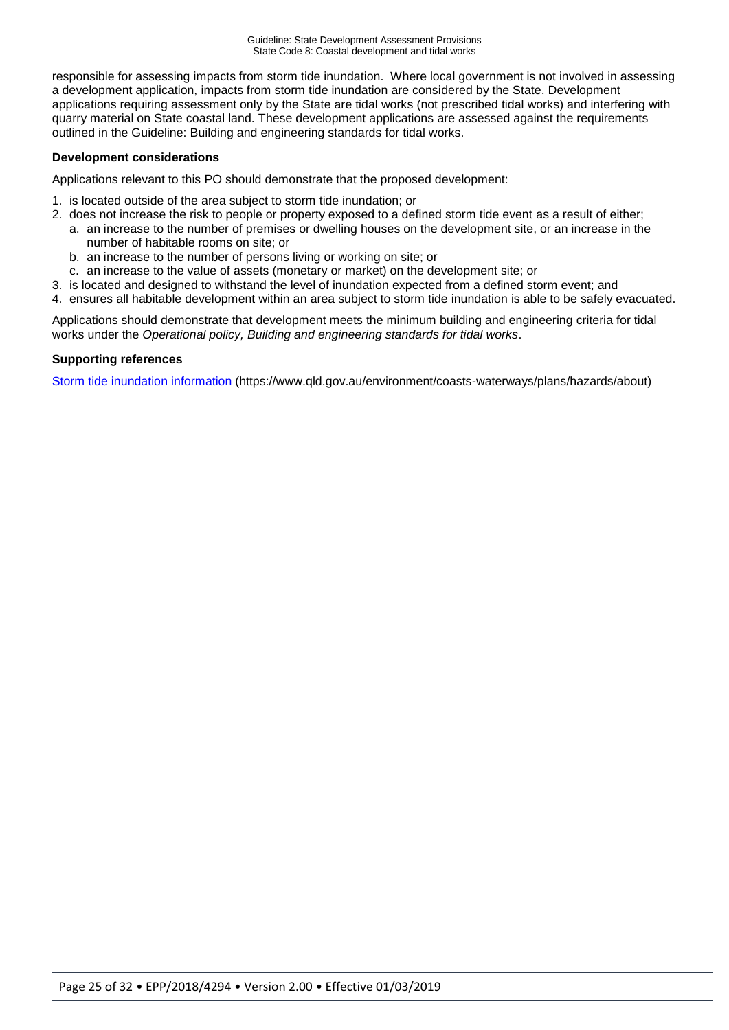responsible for assessing impacts from storm tide inundation. Where local government is not involved in assessing a development application, impacts from storm tide inundation are considered by the State. Development applications requiring assessment only by the State are tidal works (not prescribed tidal works) and interfering with quarry material on State coastal land. These development applications are assessed against the requirements outlined in the Guideline: Building and engineering standards for tidal works.

#### **Development considerations**

Applications relevant to this PO should demonstrate that the proposed development:

- 1. is located outside of the area subject to storm tide inundation; or
- 2. does not increase the risk to people or property exposed to a defined storm tide event as a result of either; a. an increase to the number of premises or dwelling houses on the development site, or an increase in the
	- number of habitable rooms on site; or
	- b. an increase to the number of persons living or working on site; or
	- c. an increase to the value of assets (monetary or market) on the development site; or
- 3. is located and designed to withstand the level of inundation expected from a defined storm event; and
- 4. ensures all habitable development within an area subject to storm tide inundation is able to be safely evacuated.

Applications should demonstrate that development meets the minimum building and engineering criteria for tidal works under the *Operational policy, Building and engineering standards for tidal works*.

#### **Supporting references**

[Storm tide inundation information](https://www.qld.gov.au/environment/coasts-waterways/plans/hazards/about) (https://www.qld.gov.au/environment/coasts-waterways/plans/hazards/about)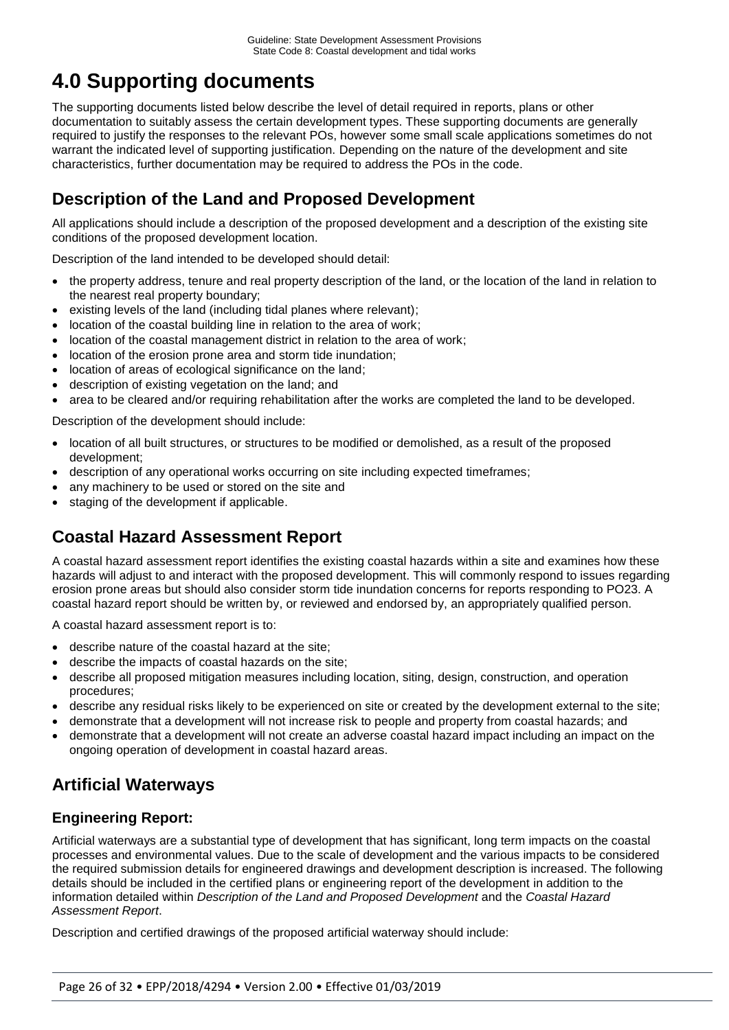# **4.0 Supporting documents**

The supporting documents listed below describe the level of detail required in reports, plans or other documentation to suitably assess the certain development types. These supporting documents are generally required to justify the responses to the relevant POs, however some small scale applications sometimes do not warrant the indicated level of supporting justification. Depending on the nature of the development and site characteristics, further documentation may be required to address the POs in the code.

# **Description of the Land and Proposed Development**

All applications should include a description of the proposed development and a description of the existing site conditions of the proposed development location.

Description of the land intended to be developed should detail:

- the property address, tenure and real property description of the land, or the location of the land in relation to the nearest real property boundary;
- existing levels of the land (including tidal planes where relevant);
- location of the coastal building line in relation to the area of work;
- location of the coastal management district in relation to the area of work;
- location of the erosion prone area and storm tide inundation;
- location of areas of ecological significance on the land;
- description of existing vegetation on the land; and
- area to be cleared and/or requiring rehabilitation after the works are completed the land to be developed.

Description of the development should include:

- location of all built structures, or structures to be modified or demolished, as a result of the proposed development;
- description of any operational works occurring on site including expected timeframes;
- any machinery to be used or stored on the site and
- staging of the development if applicable.

## **Coastal Hazard Assessment Report**

A coastal hazard assessment report identifies the existing coastal hazards within a site and examines how these hazards will adjust to and interact with the proposed development. This will commonly respond to issues regarding erosion prone areas but should also consider storm tide inundation concerns for reports responding to PO23. A coastal hazard report should be written by, or reviewed and endorsed by, an appropriately qualified person.

A coastal hazard assessment report is to:

- describe nature of the coastal hazard at the site;
- describe the impacts of coastal hazards on the site;
- describe all proposed mitigation measures including location, siting, design, construction, and operation procedures;
- describe any residual risks likely to be experienced on site or created by the development external to the site;
- demonstrate that a development will not increase risk to people and property from coastal hazards; and
- demonstrate that a development will not create an adverse coastal hazard impact including an impact on the ongoing operation of development in coastal hazard areas.

## **Artificial Waterways**

## **Engineering Report:**

Artificial waterways are a substantial type of development that has significant, long term impacts on the coastal processes and environmental values. Due to the scale of development and the various impacts to be considered the required submission details for engineered drawings and development description is increased. The following details should be included in the certified plans or engineering report of the development in addition to the information detailed within *Description of the Land and Proposed Development* and the *Coastal Hazard Assessment Report*.

Description and certified drawings of the proposed artificial waterway should include: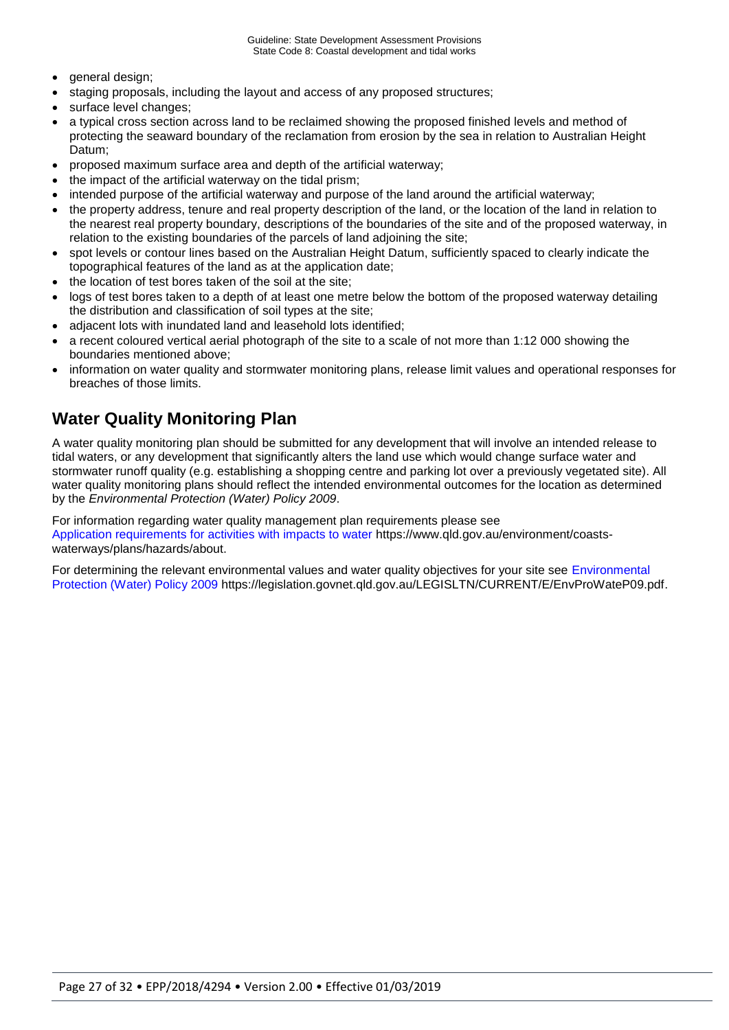- general design;
- staging proposals, including the layout and access of any proposed structures;
- surface level changes;
- a typical cross section across land to be reclaimed showing the proposed finished levels and method of protecting the seaward boundary of the reclamation from erosion by the sea in relation to Australian Height Datum;
- proposed maximum surface area and depth of the artificial waterway;
- the impact of the artificial waterway on the tidal prism;
- intended purpose of the artificial waterway and purpose of the land around the artificial waterway;
- the property address, tenure and real property description of the land, or the location of the land in relation to the nearest real property boundary, descriptions of the boundaries of the site and of the proposed waterway, in relation to the existing boundaries of the parcels of land adjoining the site;
- spot levels or contour lines based on the Australian Height Datum, sufficiently spaced to clearly indicate the topographical features of the land as at the application date;
- the location of test bores taken of the soil at the site;
- logs of test bores taken to a depth of at least one metre below the bottom of the proposed waterway detailing the distribution and classification of soil types at the site;
- adjacent lots with inundated land and leasehold lots identified;
- a recent coloured vertical aerial photograph of the site to a scale of not more than 1:12 000 showing the boundaries mentioned above;
- information on water quality and stormwater monitoring plans, release limit values and operational responses for breaches of those limits.

## **Water Quality Monitoring Plan**

A water quality monitoring plan should be submitted for any development that will involve an intended release to tidal waters, or any development that significantly alters the land use which would change surface water and stormwater runoff quality (e.g. establishing a shopping centre and parking lot over a previously vegetated site). All water quality monitoring plans should reflect the intended environmental outcomes for the location as determined by the *Environmental Protection (Water) Policy 2009*.

For information regarding water quality management plan requirements please see [Application requirements for activities with impacts to water](https://www.qld.gov.au/environment/coasts-waterways/plans/hazards/about) https://www.qld.gov.au/environment/coastswaterways/plans/hazards/about.

For determining the relevant environmental values and water quality objectives for your site see [Environmental](https://legislation.govnet.qld.gov.au/LEGISLTN/CURRENT/E/EnvProWateP09.pdf)  [Protection \(Water\) Policy 2009](https://legislation.govnet.qld.gov.au/LEGISLTN/CURRENT/E/EnvProWateP09.pdf) [https://legislation.govnet.qld.gov.au/LEGISLTN/CURRENT/E/EnvProWateP09.pdf.](https://legislation.govnet.qld.gov.au/LEGISLTN/CURRENT/E/EnvProWateP09.pdf)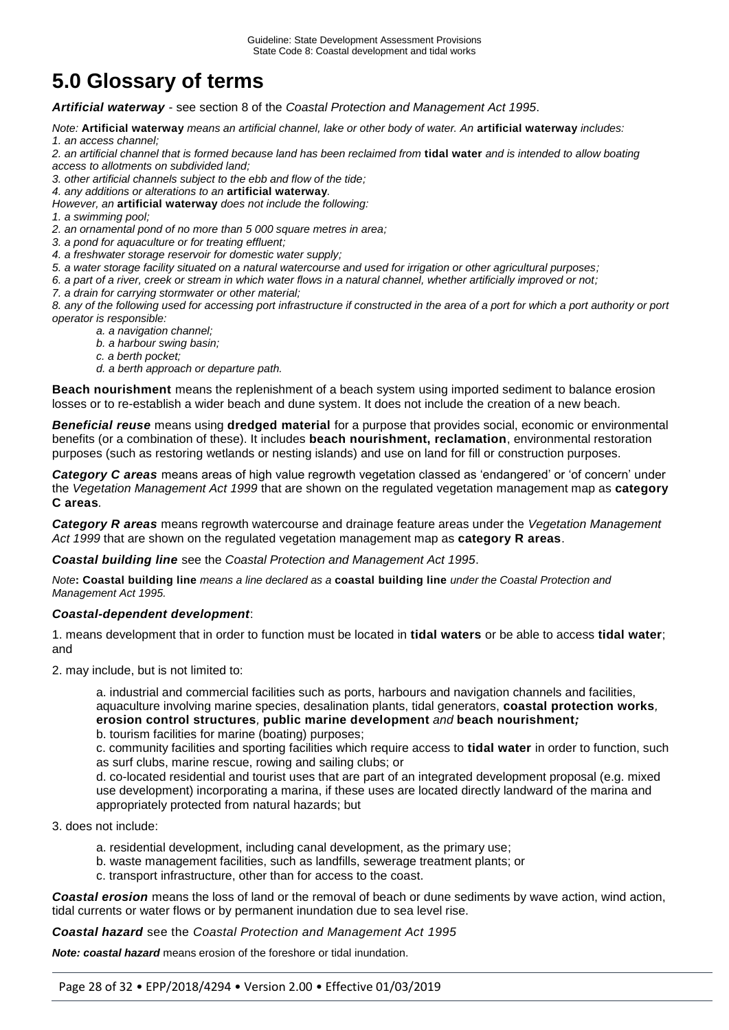# **5.0 Glossary of terms**

*Artificial waterway* - see section 8 of the *Coastal Protection and Management Act 1995*.

*Note:* **Artificial waterway** *means an artificial channel, lake or other body of water. An* **artificial waterway** *includes:* 

*1. an access channel;*

*2. an artificial channel that is formed because land has been reclaimed from* **tidal water** *and is intended to allow boating access to allotments on subdivided land;*

*3. other artificial channels subject to the ebb and flow of the tide;*

*4. any additions or alterations to an* **artificial waterway***.* 

*However, an* **artificial waterway** *does not include the following:* 

*1. a swimming pool;*

*2. an ornamental pond of no more than 5 000 square metres in area;*

*3. a pond for aquaculture or for treating effluent;*

- *4. a freshwater storage reservoir for domestic water supply;*
- *5. a water storage facility situated on a natural watercourse and used for irrigation or other agricultural purposes;*
- *6. a part of a river, creek or stream in which water flows in a natural channel, whether artificially improved or not;*
- *7. a drain for carrying stormwater or other material;*

*8. any of the following used for accessing port infrastructure if constructed in the area of a port for which a port authority or port operator is responsible:* 

- *a. a navigation channel;*
- *b. a harbour swing basin;*
- *c. a berth pocket;*
- *d. a berth approach or departure path.*

**Beach nourishment** means the replenishment of a beach system using imported sediment to balance erosion losses or to re-establish a wider beach and dune system. It does not include the creation of a new beach.

*Beneficial reuse* means using **dredged material** for a purpose that provides social, economic or environmental benefits (or a combination of these). It includes **beach nourishment, reclamation**, environmental restoration purposes (such as restoring wetlands or nesting islands) and use on land for fill or construction purposes.

*Category C areas* means areas of high value regrowth vegetation classed as 'endangered' or 'of concern' under the *Vegetation Management Act 1999* that are shown on the regulated vegetation management map as **category C areas***.*

*Category R areas* means regrowth watercourse and drainage feature areas under the *Vegetation Management Act 1999* that are shown on the regulated vegetation management map as **category R areas**.

*Coastal building line* see the *Coastal Protection and Management Act 1995*.

*Note***: Coastal building line** *means a line declared as a* **coastal building line** *under the Coastal Protection and Management Act 1995.* 

#### *Coastal-dependent development*:

1. means development that in order to function must be located in **tidal waters** or be able to access **tidal water**; and

2. may include, but is not limited to:

a. industrial and commercial facilities such as ports, harbours and navigation channels and facilities, aquaculture involving marine species, desalination plants, tidal generators, **coastal protection works***,*  **erosion control structures***,* **public marine development** *and* **beach nourishment***;*

b. tourism facilities for marine (boating) purposes;

c. community facilities and sporting facilities which require access to **tidal water** in order to function, such as surf clubs, marine rescue, rowing and sailing clubs; or

d. co-located residential and tourist uses that are part of an integrated development proposal (e.g. mixed use development) incorporating a marina, if these uses are located directly landward of the marina and appropriately protected from natural hazards; but

3. does not include:

- a. residential development, including canal development, as the primary use;
- b. waste management facilities, such as landfills, sewerage treatment plants; or
	- c. transport infrastructure, other than for access to the coast.

*Coastal erosion* means the loss of land or the removal of beach or dune sediments by wave action, wind action, tidal currents or water flows or by permanent inundation due to sea level rise.

*Coastal hazard* see the *Coastal Protection and Management Act 1995*

*Note: coastal hazard* means erosion of the foreshore or tidal inundation.

Page 28 of 32 • EPP/2018/4294 • Version 2.00 • Effective 01/03/2019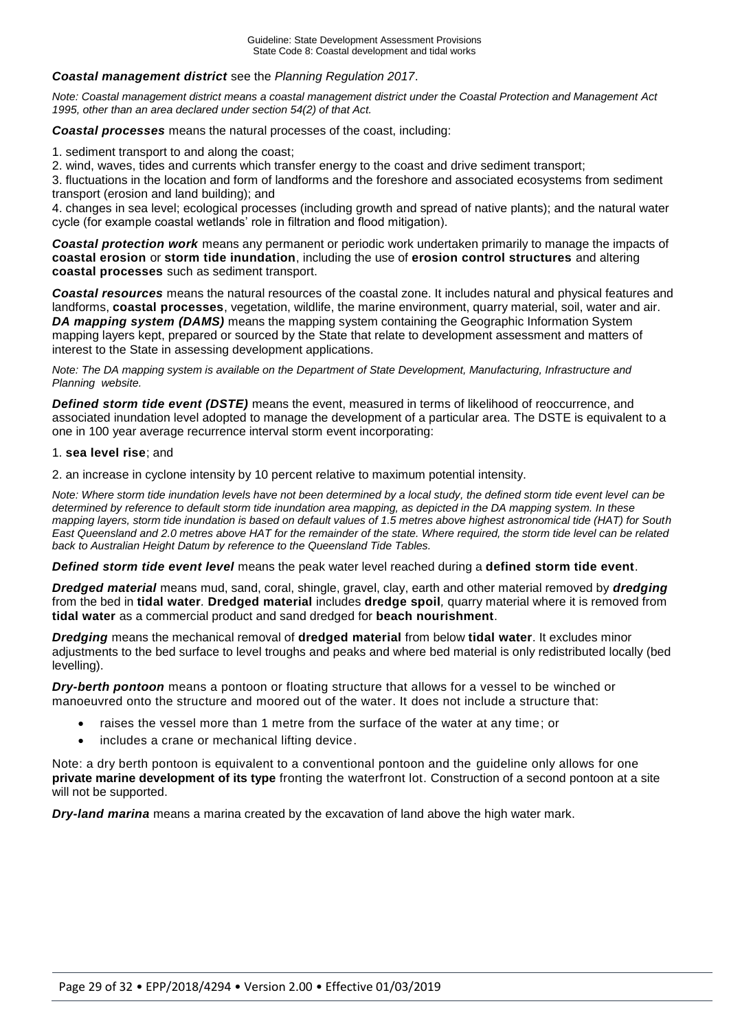#### *Coastal management district* see the *Planning Regulation 2017*.

*Note: Coastal management district means a coastal management district under the Coastal Protection and Management Act 1995, other than an area declared under section 54(2) of that Act.* 

*Coastal processes* means the natural processes of the coast, including:

1. sediment transport to and along the coast;

2. wind, waves, tides and currents which transfer energy to the coast and drive sediment transport;

3. fluctuations in the location and form of landforms and the foreshore and associated ecosystems from sediment transport (erosion and land building); and

4. changes in sea level; ecological processes (including growth and spread of native plants); and the natural water cycle (for example coastal wetlands' role in filtration and flood mitigation).

*Coastal protection work* means any permanent or periodic work undertaken primarily to manage the impacts of **coastal erosion** or **storm tide inundation**, including the use of **erosion control structures** and altering **coastal processes** such as sediment transport.

*Coastal resources* means the natural resources of the coastal zone. It includes natural and physical features and landforms, **coastal processes**, vegetation, wildlife, the marine environment, quarry material, soil, water and air. *DA mapping system (DAMS)* means the mapping system containing the Geographic Information System mapping layers kept, prepared or sourced by the State that relate to development assessment and matters of interest to the State in assessing development applications.

*Note: The DA mapping system is available on the Department of State Development, Manufacturing, Infrastructure and Planning website.* 

**Defined storm tide event (DSTE)** means the event, measured in terms of likelihood of reoccurrence, and associated inundation level adopted to manage the development of a particular area. The DSTE is equivalent to a one in 100 year average recurrence interval storm event incorporating:

#### 1. **sea level rise**; and

2. an increase in cyclone intensity by 10 percent relative to maximum potential intensity.

*Note: Where storm tide inundation levels have not been determined by a local study, the defined storm tide event level can be determined by reference to default storm tide inundation area mapping, as depicted in the DA mapping system. In these mapping layers, storm tide inundation is based on default values of 1.5 metres above highest astronomical tide (HAT) for South East Queensland and 2.0 metres above HAT for the remainder of the state. Where required, the storm tide level can be related back to Australian Height Datum by reference to the Queensland Tide Tables.*

*Defined storm tide event level* means the peak water level reached during a **defined storm tide event**.

*Dredged material* means mud, sand, coral, shingle, gravel, clay, earth and other material removed by *dredging* from the bed in **tidal water***.* **Dredged material** includes **dredge spoil***,* quarry material where it is removed from **tidal water** as a commercial product and sand dredged for **beach nourishment**.

*Dredging* means the mechanical removal of **dredged material** from below **tidal water**. It excludes minor adjustments to the bed surface to level troughs and peaks and where bed material is only redistributed locally (bed levelling).

*Dry-berth pontoon* means a pontoon or floating structure that allows for a vessel to be winched or manoeuvred onto the structure and moored out of the water. It does not include a structure that:

- raises the vessel more than 1 metre from the surface of the water at any time; or
- includes a crane or mechanical lifting device.

Note: a dry berth pontoon is equivalent to a conventional pontoon and the guideline only allows for one **private marine development of its type** fronting the waterfront lot. Construction of a second pontoon at a site will not be supported.

*Dry-land marina* means a marina created by the excavation of land above the high water mark.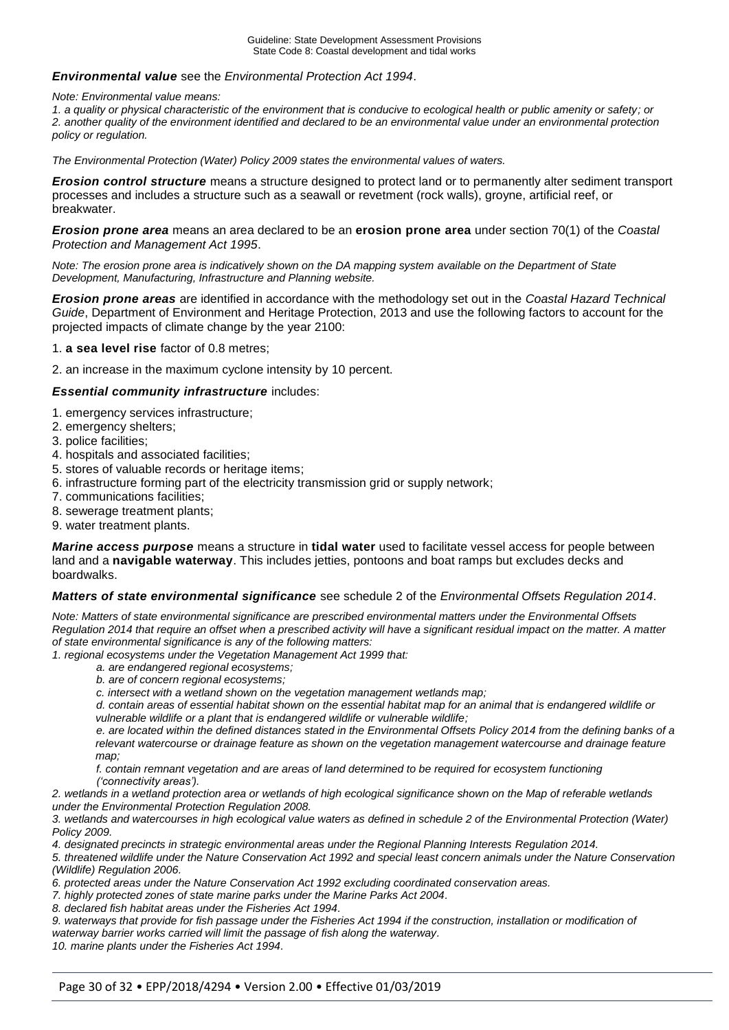#### *Environmental value* see the *Environmental Protection Act 1994*.

*Note: Environmental value means:* 

*1. a quality or physical characteristic of the environment that is conducive to ecological health or public amenity or safety; or 2. another quality of the environment identified and declared to be an environmental value under an environmental protection policy or regulation.* 

*The Environmental Protection (Water) Policy 2009 states the environmental values of waters.* 

*Erosion control structure* means a structure designed to protect land or to permanently alter sediment transport processes and includes a structure such as a seawall or revetment (rock walls), groyne, artificial reef, or breakwater.

*Erosion prone area* means an area declared to be an **erosion prone area** under section 70(1) of the *Coastal Protection and Management Act 1995*.

*Note: The erosion prone area is indicatively shown on the DA mapping system available on the Department of State Development, Manufacturing, Infrastructure and Planning website.* 

*Erosion prone areas* are identified in accordance with the methodology set out in the *Coastal Hazard Technical Guide*, Department of Environment and Heritage Protection, 2013 and use the following factors to account for the projected impacts of climate change by the year 2100:

1. **a sea level rise** factor of 0.8 metres;

2. an increase in the maximum cyclone intensity by 10 percent.

#### *Essential community infrastructure* includes:

- 1. emergency services infrastructure;
- 2. emergency shelters;
- 3. police facilities;
- 4. hospitals and associated facilities;
- 5. stores of valuable records or heritage items;
- 6. infrastructure forming part of the electricity transmission grid or supply network;
- 7. communications facilities;
- 8. sewerage treatment plants;
- 9. water treatment plants.

*Marine access purpose* means a structure in **tidal water** used to facilitate vessel access for people between land and a **navigable waterway**. This includes jetties, pontoons and boat ramps but excludes decks and boardwalks.

#### *Matters of state environmental significance* see schedule 2 of the *Environmental Offsets Regulation 2014*.

*Note: Matters of state environmental significance are prescribed environmental matters under the Environmental Offsets Regulation 2014 that require an offset when a prescribed activity will have a significant residual impact on the matter. A matter of state environmental significance is any of the following matters:* 

*1. regional ecosystems under the Vegetation Management Act 1999 that:*

- *a. are endangered regional ecosystems;*
- *b. are of concern regional ecosystems;*
- *c. intersect with a wetland shown on the vegetation management wetlands map;*

*d. contain areas of essential habitat shown on the essential habitat map for an animal that is endangered wildlife or vulnerable wildlife or a plant that is endangered wildlife or vulnerable wildlife;*

*e. are located within the defined distances stated in the Environmental Offsets Policy 2014 from the defining banks of a*  relevant watercourse or drainage feature as shown on the vegetation management watercourse and drainage feature *map;*

*f. contain remnant vegetation and are areas of land determined to be required for ecosystem functioning ('connectivity areas').*

*2. wetlands in a wetland protection area or wetlands of high ecological significance shown on the Map of referable wetlands under the Environmental Protection Regulation 2008.*

*3. wetlands and watercourses in high ecological value waters as defined in schedule 2 of the Environmental Protection (Water) Policy 2009.*

*4. designated precincts in strategic environmental areas under the Regional Planning Interests Regulation 2014.*

*5. threatened wildlife under the Nature Conservation Act 1992 and special least concern animals under the Nature Conservation (Wildlife) Regulation 2006.*

*6. protected areas under the Nature Conservation Act 1992 excluding coordinated conservation areas.*

*7. highly protected zones of state marine parks under the Marine Parks Act 2004. 8. declared fish habitat areas under the Fisheries Act 1994.*

*9. waterways that provide for fish passage under the Fisheries Act 1994 if the construction, installation or modification of waterway barrier works carried will limit the passage of fish along the waterway.*

*10. marine plants under the Fisheries Act 1994.*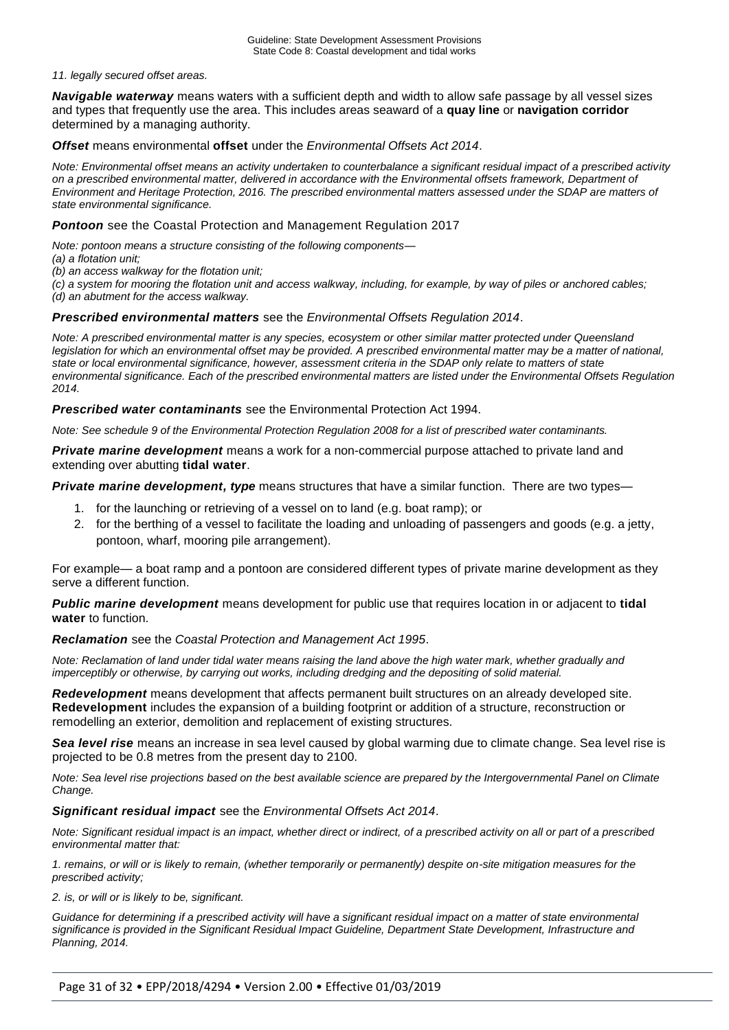#### *11. legally secured offset areas.*

*Navigable waterway* means waters with a sufficient depth and width to allow safe passage by all vessel sizes and types that frequently use the area. This includes areas seaward of a **quay line** or **navigation corridor**  determined by a managing authority.

#### *Offset* means environmental **offset** under the *Environmental Offsets Act 2014*.

*Note: Environmental offset means an activity undertaken to counterbalance a significant residual impact of a prescribed activity on a prescribed environmental matter, delivered in accordance with the Environmental offsets framework, Department of Environment and Heritage Protection, 2016. The prescribed environmental matters assessed under the SDAP are matters of state environmental significance.* 

#### *Pontoon* see the Coastal Protection and Management Regulation 2017

*Note: pontoon means a structure consisting of the following components—*

- *(a) a flotation unit;*
- *(b) an access walkway for the flotation unit;*

*(c) a system for mooring the flotation unit and access walkway, including, for example, by way of piles or anchored cables;*

*(d) an abutment for the access walkway.*

#### *Prescribed environmental matters* see the *Environmental Offsets Regulation 2014*.

*Note: A prescribed environmental matter is any species, ecosystem or other similar matter protected under Queensland legislation for which an environmental offset may be provided. A prescribed environmental matter may be a matter of national, state or local environmental significance, however, assessment criteria in the SDAP only relate to matters of state environmental significance. Each of the prescribed environmental matters are listed under the Environmental Offsets Regulation 2014.* 

*Prescribed water contaminants* see the Environmental Protection Act 1994.

*Note: See schedule 9 of the Environmental Protection Regulation 2008 for a list of prescribed water contaminants.* 

*Private marine development* means a work for a non-commercial purpose attached to private land and extending over abutting **tidal water**.

**Private marine development, type** means structures that have a similar function. There are two types—

- 1. for the launching or retrieving of a vessel on to land (e.g. boat ramp); or
- 2. for the berthing of a vessel to facilitate the loading and unloading of passengers and goods (e.g. a jetty, pontoon, wharf, mooring pile arrangement).

For example— a boat ramp and a pontoon are considered different types of private marine development as they serve a different function.

*Public marine development* means development for public use that requires location in or adjacent to **tidal water** to function.

#### *Reclamation* see the *Coastal Protection and Management Act 1995*.

*Note: Reclamation of land under tidal water means raising the land above the high water mark, whether gradually and imperceptibly or otherwise, by carrying out works, including dredging and the depositing of solid material.* 

*Redevelopment* means development that affects permanent built structures on an already developed site. **Redevelopment** includes the expansion of a building footprint or addition of a structure, reconstruction or remodelling an exterior, demolition and replacement of existing structures.

*Sea level rise* means an increase in sea level caused by global warming due to climate change. Sea level rise is projected to be 0.8 metres from the present day to 2100.

*Note: Sea level rise projections based on the best available science are prepared by the Intergovernmental Panel on Climate Change.* 

#### *Significant residual impact* see the *Environmental Offsets Act 2014*.

*Note: Significant residual impact is an impact, whether direct or indirect, of a prescribed activity on all or part of a prescribed environmental matter that:*

*1. remains, or will or is likely to remain, (whether temporarily or permanently) despite on-site mitigation measures for the prescribed activity;*

*2. is, or will or is likely to be, significant.* 

*Guidance for determining if a prescribed activity will have a significant residual impact on a matter of state environmental significance is provided in the Significant Residual Impact Guideline, Department State Development, Infrastructure and Planning, 2014.*